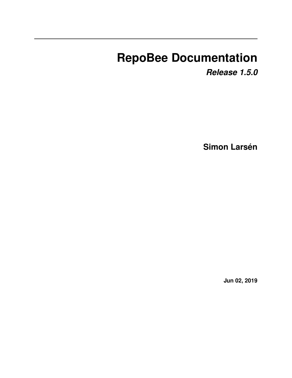# **RepoBee Documentation**

*Release 1.5.0*

**Simon Larsén**

**Jun 02, 2019**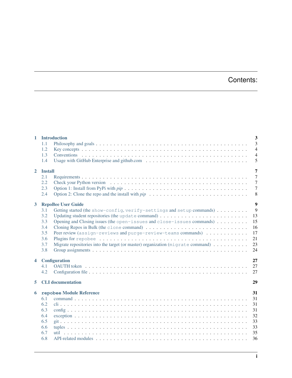# Contents:

|                               | 1 Introduction                                                                                                               | $\overline{\mathbf{3}}$ |  |
|-------------------------------|------------------------------------------------------------------------------------------------------------------------------|-------------------------|--|
|                               | 1.1                                                                                                                          | 3                       |  |
|                               | 1.2                                                                                                                          | $\overline{4}$          |  |
|                               | 1.3                                                                                                                          | $\overline{4}$          |  |
|                               | 1.4                                                                                                                          | 5                       |  |
| $\overline{2}$                | <b>Install</b>                                                                                                               | 7                       |  |
|                               | 2.1                                                                                                                          | $\overline{7}$          |  |
|                               | 2.2                                                                                                                          | $\overline{7}$          |  |
|                               | 2.3                                                                                                                          | $\overline{7}$          |  |
|                               | Option 2: Clone the repo and the install with $pip \dots \dots \dots \dots \dots \dots \dots \dots \dots \dots \dots$<br>2.4 | 8                       |  |
| $\mathbf{3}$                  | <b>RepoBee User Guide</b>                                                                                                    | $\overline{9}$          |  |
|                               | Getting started (the show-config, verify-settings and setup commands)<br>3.1                                                 | 9                       |  |
|                               | 3.2<br>Updating student repositories (the update command) $\ldots$ , , , , , ,                                               | 13                      |  |
|                               | Opening and Closing issues (the open-issues and close-issues commands)<br>3.3                                                | 15                      |  |
|                               | 3.4                                                                                                                          | 16                      |  |
|                               | Peer review (assign-reviews and purge-review-teams commands)<br>3.5                                                          | 17                      |  |
|                               | 3.6                                                                                                                          | 21                      |  |
|                               | Migrate repositories into the target (or master) organization ( $m$ igrate command)<br>3.7                                   | 23                      |  |
|                               | 3.8                                                                                                                          | 24                      |  |
| $\overline{\mathbf{4}}$       | Configuration                                                                                                                | 27                      |  |
|                               | 4.1                                                                                                                          | 27                      |  |
|                               | 4.2                                                                                                                          | 27                      |  |
| 5                             | <b>CLI</b> documentation                                                                                                     | 29                      |  |
| repobee Module Reference<br>6 |                                                                                                                              |                         |  |
|                               | 6.1                                                                                                                          | 31                      |  |
|                               | 6.2                                                                                                                          | 31                      |  |
|                               | 6.3                                                                                                                          | 31                      |  |
|                               | 6.4                                                                                                                          | 32                      |  |
|                               | 6.5                                                                                                                          | 33                      |  |
|                               | 6.6                                                                                                                          | 33                      |  |
|                               | 6.7                                                                                                                          | 35                      |  |
|                               | 6.8                                                                                                                          | 36                      |  |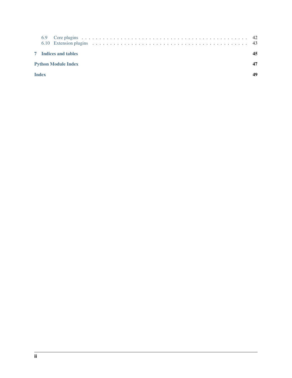|                            | <b>7</b> Indices and tables |  |  |  |
|----------------------------|-----------------------------|--|--|--|
| <b>Python Module Index</b> |                             |  |  |  |
| <b>Index</b>               |                             |  |  |  |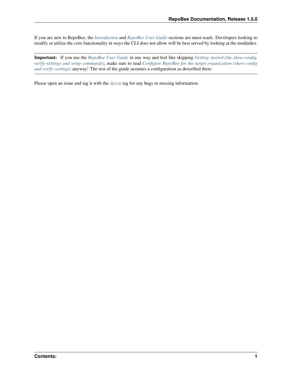If you are new to RepoBee, the *[Introduction](#page-6-0)* and *[RepoBee User Guide](#page-12-0)* sections are must-reads. Developers looking to modify or utilize the core functionality in ways the CLI does not allow will be best served by looking at the modindex.

Important: If you use the *[RepoBee User Guide](#page-12-0)* in any way and feel like skipping *[Getting started \(the show-config,](#page-12-1) [verify-settings and setup commands\)](#page-12-1)*, make sure to read *[Configure RepoBee for the target organization \(show-config](#page-13-0) [and verify-settings\)](#page-13-0)* anyway! The rest of the guide assumes a configuration as described there.

Please open an issue and tag it with the docs tag for any bugs or missing information.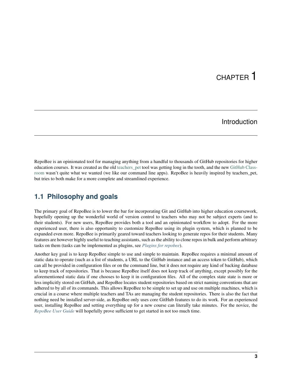# CHAPTER 1

### Introduction

<span id="page-6-0"></span>RepoBee is an opinionated tool for managing anything from a handful to thousands of GitHub repositories for higher education courses. It was created as the old teachers pet tool was getting long in the tooth, and the new [GitHub Class](https://classroom.github.com/)[room](https://classroom.github.com/) wasn't quite what we wanted (we like our command line apps). RepoBee is heavily inspired by teachers\_pet, but tries to both make for a more complete and streamlined experience.

### <span id="page-6-1"></span>**1.1 Philosophy and goals**

The primary goal of RepoBee is to lower the bar for incorporating Git and GitHub into higher education coursework, hopefully opening up the wonderful world of version control to teachers who may not be subject experts (and to their students). For new users, RepoBee provides both a tool and an opinionated workflow to adopt. For the more experienced user, there is also opportunity to customize RepoBee using its plugin system, which is planned to be expanded even more. RepoBee is primarily geared toward teachers looking to generate repos for their students. Many features are however highly useful to teaching assistants, such as the ability to clone repos in bulk and perform arbitrary tasks on them (tasks can be implemented as plugins, see *[Plugins for repobee](#page-24-0)*).

Another key goal is to keep RepoBee simple to use and simple to maintain. RepoBee requires a minimal amount of static data to operate (such as a list of students, a URL to the GitHub instance and an access token to GitHub), which can all be provided in configuration files or on the command line, but it does not require any kind of backing database to keep track of repositories. That is because RepoBee itself does not keep track of anything, except possibly for the aforementioned static data if one chooses to keep it in configuration files. All of the complex state state is more or less implicitly stored on GitHub, and RepoBee locates student repositories based on strict naming conventions that are adhered to by all of its commands. This allows RepoBee to be simple to set up and use on multiple machines, which is crucial in a course where multiple teachers and TAs are managing the student repositories. There is also the fact that nothing need be installed server-side, as RepoBee only uses core GitHub features to do its work. For an experienced user, installing RepoBee and setting everything up for a new course can literally take minutes. For the novice, the *[RepoBee User Guide](#page-12-0)* will hopefully prove sufficient to get started in not too much time.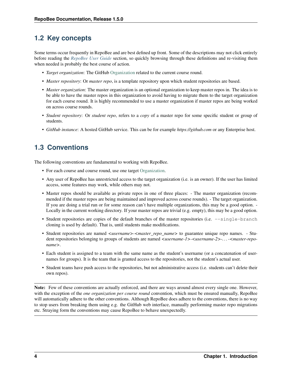## <span id="page-7-0"></span>**1.2 Key concepts**

Some terms occur frequently in RepoBee and are best defined up front. Some of the descriptions may not click entirely before reading the *[RepoBee User Guide](#page-12-0)* section, so quickly browsing through these definitions and re-visiting them when needed is probably the best course of action.

- *Target organization*: The GitHub [Organization](https://help.github.com/articles/about-organizations/) related to the current course round.
- *Master repository*: Or *master repo*, is a template repository upon which student repositories are based.
- *Master organization*: The master organization is an optional organization to keep master repos in. The idea is to be able to have the master repos in this organization to avoid having to migrate them to the target organization for each course round. It is highly recommended to use a master organization if master repos are being worked on across course rounds.
- *Student repository*: Or *student repo*, refers to a *copy* of a master repo for some specific student or group of students.
- *GitHub instance*: A hosted GitHub service. This can be for example *https://github.com* or any Enterprise host.

# <span id="page-7-1"></span>**1.3 Conventions**

The following conventions are fundamental to working with RepoBee.

- For each course and course round, use one target [Organization.](https://help.github.com/articles/about-organizations/)
- Any user of RepoBee has unrestricted access to the target organization (i.e. is an owner). If the user has limited access, some features may work, while others may not.
- Master repos should be available as private repos in one of three places: The master organization (recommended if the master repos are being maintained and improved across course rounds). - The target organization. If you are doing a trial run or for some reason can't have multiple organizations, this may be a good option. - Locally in the current working directory. If your master repos are trivial (e.g. empty), this may be a good option.
- Student repositories are copies of the default branches of the master repositories (i.e.  $-\text{single-branch}$ ) cloning is used by default). That is, until students make modifications.
- Student repositories are named *<username>-<master\_repo\_name>* to guarantee unique repo names. Student repositories belonging to groups of students are named *<username-1>-<username-2>-. . . -<master-reponame>*.
- Each student is assigned to a team with the same name as the student's username (or a concatenation of usernames for groups). It is the team that is granted access to the repositories, not the student's actual user.
- Student teams have push access to the repositories, but not administrative access (i.e. students can't delete their own repos).

Note: Few of these conventions are actually enforced, and there are ways around almost every single one. However, with the exception of the *one organization per course round* convention, which must be ensured manually, RepoBee will automatically adhere to the other conventions. Although RepoBee does adhere to the conventions, there is no way to stop users from breaking them using e.g. the GitHub web interface, manually performing master repo migrations etc. Straying form the conventions may cause RepoBee to behave unexpectedly.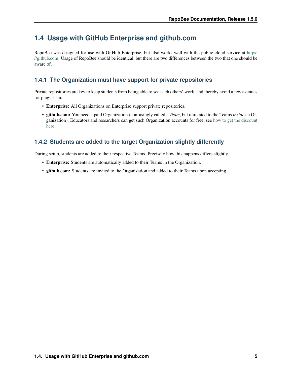# <span id="page-8-0"></span>**1.4 Usage with GitHub Enterprise and github.com**

RepoBee was designed for use with GitHub Enterprise, but also works well with the public cloud service at [https:](https://github.com) [//github.com.](https://github.com) Usage of RepoBee should be identical, but there are two differences between the two that one should be aware of.

### **1.4.1 The Organization must have support for private repositories**

Private repositories are key to keep students from being able to see each others' work, and thereby avoid a few avenues for plagiarism.

- Enterprise: All Organizations on Enterprise support private repositories.
- github.com: You need a paid Organization (confusingly called a *Team*, but unrelated to the Teams *inside* an Organization). Educators and researchers can get such Organization accounts for free, see [how to get the discount](https://help.github.com/en/articles/applying-for-an-educator-or-researcher-discount) [here.](https://help.github.com/en/articles/applying-for-an-educator-or-researcher-discount)

### **1.4.2 Students are added to the target Organization slightly differently**

During setup, students are added to their respective Teams. Precisely how this happens differs slightly.

- Enterprise: Students are automatically added to their Teams in the Organization.
- github.com: Students are invited to the Organization and added to their Teams upon accepting.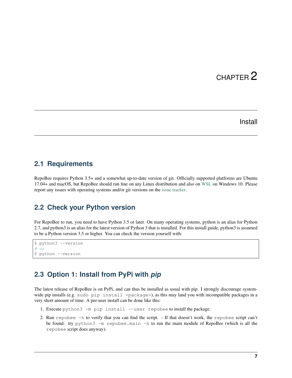# CHAPTER 2

### Install

### <span id="page-10-1"></span><span id="page-10-0"></span>**2.1 Requirements**

RepoBee requires Python 3.5+ and a somewhat up-to-date version of git. Officially supported platforms are Ubuntu 17.04+ and macOS, but RepoBee should run fine on any Linux distribution and also on [WSL](https://docs.microsoft.com/en-us/windows/wsl/install-win10) on Windows 10. Please report any issues with operating systems and/or git versions on the [issue tracker.](https://github.com/repobee/repobee/issues)

### <span id="page-10-2"></span>**2.2 Check your Python version**

For RepoBee to run, you need to have Python 3.5 or later. On many operating systems, python is an alias for Python 2.7, and python3 is an alias for the latest version of Python 3 that is installed. For this install guide, python3 is assumed to be a Python version 3.5 or higher. You can check the version yourself with:

```
$ python3 --version
# or$ python --version
```
### <span id="page-10-3"></span>**2.3 Option 1: Install from PyPi with** *pip*

The latest release of RepoBee is on PyPi, and can thus be installed as usual with pip. I strongly discourage systemwide pip installs (e.g. sudo pip install <package>), as this may land you with incompatible packages in a very short amount of time. A per-user install can be done like this:

- 1. Execute python3 -m pip install --user repobee to install the package.
- 2. Run repobee -h to verify that you can find the script. If that doesn't work, the repobee script can't be found. try python3 -m repobee.main -h to run the main module of RepoBee (which is all the repobee script does anyway).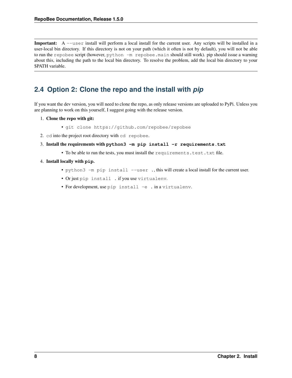Important: A --user install will perform a local install for the current user. Any scripts will be installed in a user-local bin directory. If this directory is not on your path (which it often is not by default), you will not be able to run the repobee script (however, python -m repobee.main should still work). pip should issue a warning about this, including the path to the local bin directory. To resolve the problem, add the local bin directory to your \$PATH variable.

# <span id="page-11-0"></span>**2.4 Option 2: Clone the repo and the install with** *pip*

If you want the dev version, you will need to clone the repo, as only release versions are uploaded to PyPi. Unless you are planning to work on this yourself, I suggest going with the release version.

- 1. Clone the repo with git:
	- git clone https://github.com/repobee/repobee
- 2. cd into the project root directory with cd repobee.
- 3. Install the requirements with **python3 -m pip install -r requirements.txt**
	- To be able to run the tests, you must install the requirements.test.txt file.
- 4. Install locally with **pip**.
	- python3 -m pip install --user ., this will create a local install for the current user.
	- Or just pip install . if you use virtualenv.
	- For development, use pip install -e . in a virtualenv.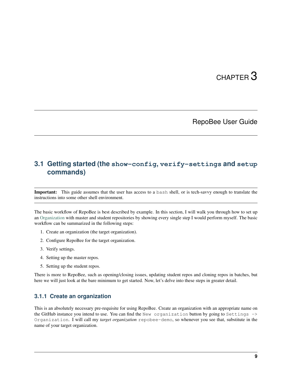# CHAPTER 3

### RepoBee User Guide

## <span id="page-12-1"></span><span id="page-12-0"></span>**3.1 Getting started (the show-config, verify-settings and setup commands)**

Important: This guide assumes that the user has access to a bash shell, or is tech-savvy enough to translate the instructions into some other shell environment.

The basic workflow of RepoBee is best described by example. In this section, I will walk you through how to set up an [Organization](https://help.github.com/articles/about-organizations/) with master and student repositories by showing every single step I would perform myself. The basic workflow can be summarized in the following steps:

- 1. Create an organization (the target organization).
- 2. Configure RepoBee for the target organization.
- 3. Verify settings.
- 4. Setting up the master repos.
- 5. Setting up the student repos.

There is more to RepoBee, such as opening/closing issues, updating student repos and cloning repos in batches, but here we will just look at the bare minimum to get started. Now, let's delve into these steps in greater detail.

### **3.1.1 Create an organization**

This is an absolutely necessary pre-requisite for using RepoBee. Create an organization with an appropriate name on the GitHub instance you intend to use. You can find the New organization button by going to Settings -> Organization. I will call my *target organization* repobee-demo, so whenever you see that, substitute in the name of your target organization.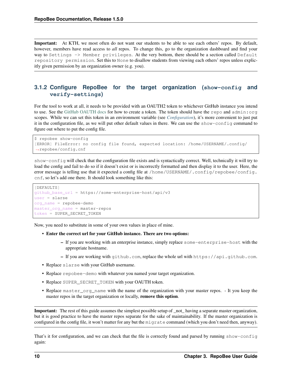Important: At KTH, we most often do not want our students to be able to see each others' repos. By default, however, members have read access to *all* repos. To change this, go to the organization dashboard and find your way to Settings -> Member privileges. At the very bottom, there should be a section called Default repository permission. Set this to None to disallow students from viewing each others' repos unless explicitly given permission by an organization owner (e.g. you).

### <span id="page-13-0"></span>**3.1.2 Configure RepoBee for the target organization (show-config and verify-settings)**

For the tool to work at all, it needs to be provided with an OAUTH2 token to whichever GitHub instance you intend to use. See the [GitHub OAUTH docs](https://help.github.com/articles/creating-a-personal-access-token-for-the-command-line/) for how to create a token. The token should have the repo and admin:org scopes. While we can set this token in an environment variable (see *[Configuration](#page-30-0)*), it's more convenient to just put it in the configuration file, as we will put other default values in there. We can use the show-config command to figure out where to put the config file.

```
$ repobee show-config
[ERROR] FileError: no config file found, expected location: /home/USERNAME/.config/
˓→repobee/config.cnf
```
show-config will check that the configuration file exists and is syntactically correct. Well, technically it will try to load the config and fail to do so if it doesn't exist or is incorrectly formatted and then display it to the user. Here, the error message is telling use that it expected a config file at /home/USERNAME/.config/repobee/config. cnf, so let's add one there. It should look something like this:

```
[DEFAULTS]
github_base_url = https://some-enterprise-host/api/v3
user = slarse
org_name = repobee-demo
master_org_name = master-repos
token = SUPER_SECRET_TOKEN
```
Now, you need to substitute in some of your own values in place of mine.

- Enter the correct url for your GitHub instance. There are two options:
	- If you are working with an enterprise instance, simply replace some-enterprise-host with the appropriate hostname.
	- If you are working with github.com, replace the whole url with https://api.github.com.
- Replace slarse with your GitHub username.
- Replace repobee-demo with whatever you named your target organization.
- Replace SUPER\_SECRET\_TOKEN with your OAUTH token.
- Replace master\_org\_name with the name of the organization with your master repos. It you keep the master repos in the target organization or locally, remove this option.

Important: The rest of this guide assumes the simplest possible setup of \_not\_ having a separate master organization, but it is good practice to have the master repos separate for the sake of maintainability. If the master organization is configured in the config file, it won't matter for any but the migrate command (which you don't need then, anyway).

That's it for configuration, and we can check that the file is correctly found and parsed by running show-configuration. again: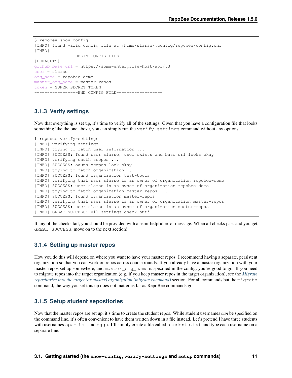```
$ repobee show-config
[INFO] found valid config file at /home/slarse/.config/repobee/config.cnf
[INFO]
-----------------BEGIN CONFIG FILE---------------
[DEFAULTS]
github_base_url = https://some-enterprise-host/api/v3
user = slarse
org_name = repobee-demo
master_org_name = master-repos
token = SUPER_SECRET_TOKEN
-----------------END CONFIG FILE----------------
```
### **3.1.3 Verify settings**

Now that everything is set up, it's time to verify all of the settings. Given that you have a configuration file that looks something like the one above, you can simply run the verify-settings command without any options.

```
$ repobee verify-settings
[INFO] verifying settings ...
[INFO] trying to fetch user information ...
[INFO] SUCCESS: found user slarse, user exists and base url looks okay
[INFO] verifying oauth scopes ...
[INFO] SUCCESS: oauth scopes look okay
[INFO] trying to fetch organization ...
[INFO] SUCCESS: found organization test-tools
[INFO] verifying that user slarse is an owner of organization repobee-demo
[INFO] SUCCESS: user slarse is an owner of organization repobee-demo
[INFO] trying to fetch organization master-repos ...
[INFO] SUCCESS: found organization master-repos
[INFO] verifying that user slarse is an owner of organization master-repos
[INFO] SUCCESS: user slarse is an owner of organization master-repos
[INFO] GREAT SUCCESS: All settings check out!
```
If any of the checks fail, you should be provided with a semi-helpful error message. When all checks pass and you get GREAT SUCCESS, move on to the next section!

### **3.1.4 Setting up master repos**

How you do this will depend on where you want to have your master repos. I recommend having a separate, persistent organization so that you can work on repos across course rounds. If you already have a master organization with your master repos set up somewhere, and master organame is specified in the config, you're good to go. If you need to migrate repos into the target organization (e.g. if you keep master repos in the target organization), see the *[Migrate](#page-26-0) [repositories into the target \(or master\) organization \(migrate command\)](#page-26-0)* section. For all commands but the migrate command, the way you set this up does not matter as far as RepoBee commands go.

### <span id="page-14-0"></span>**3.1.5 Setup student sepositories**

Now that the master repos are set up, it's time to create the student repos. While student usernames *can* be specified on the command line, it's often convenient to have them written down in a file instead. Let's pretend I have three students with usernames spam, ham and eggs. I'll simply create a file called students.txt and type each username on a separate line.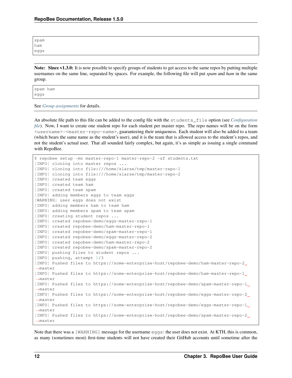| spam |  |  |
|------|--|--|
| ham  |  |  |
| eggs |  |  |

Note: Since v1.3.0: It is now possible to specify groups of students to get access to the same repos by putting multiple usernames on the same line, separated by spaces. For example, the following file will put *spam* and *ham* in the same group.

spam ham eggs

See *[Group assignments](#page-27-0)* for details.

An absolute file path to this file can be added to the config file with the students\_file option (see *[Configuration](#page-30-2) [file](#page-30-2)*). Now, I want to create one student repo for each student per master repo. The repo names will be on the form <username>-<master-repo-name>, guaranteeing their uniqueness. Each student will also be added to a team (which bears the same name as the student's user), and it is the team that is allowed access to the student's repos, and not the student's actual user. That all sounded fairly complex, but again, it's as simple as issuing a single command with RepoBee.

```
$ repobee setup -mn master-repo-1 master-repo-2 -sf students.txt
[INFO] cloning into master repos ...
[INFO] cloning into file:///home/slarse/tmp/master-repo-1
[INFO] cloning into file:///home/slarse/tmp/master-repo-2
[INFO] created team eggs
[INFO] created team ham
[INFO] created team spam
[INFO] adding members eggs to team eggs
[WARNING] user eggs does not exist
[INFO] adding members ham to team ham
[INFO] adding members spam to team spam
[INFO] creating student repos ...
[INFO] created repobee-demo/eggs-master-repo-1
[INFO] created repobee-demo/ham-master-repo-1
[INFO] created repobee-demo/spam-master-repo-1
[INFO] created repobee-demo/eggs-master-repo-2
[INFO] created repobee-demo/ham-master-repo-2
[INFO] created repobee-demo/spam-master-repo-2
[INFO] pushing files to student repos ...
[INFO] pushing, attempt 1/3
[INFO] Pushed files to https://some-enterprise-host/repobee-demo/ham-master-repo-2
˓→master
[INFO] Pushed files to https://some-enterprise-host/repobee-demo/ham-master-repo-1
˓→master
[INFO] Pushed files to https://some-enterprise-host/repobee-demo/spam-master-repo-1
˓→master
[INFO] Pushed files to https://some-enterprise-host/repobee-demo/eggs-master-repo-2
˓→master
[INFO] Pushed files to https://some-enterprise-host/repobee-demo/eggs-master-repo-1
˓→master
[INFO] Pushed files to https://some-enterprise-host/repobee-demo/spam-master-repo-2
˓→master
```
Note that there was a [WARNING] message for the username eggs: the user does not exist. At KTH, this is common, as many (sometimes most) first-time students will not have created their GitHub accounts until sometime after the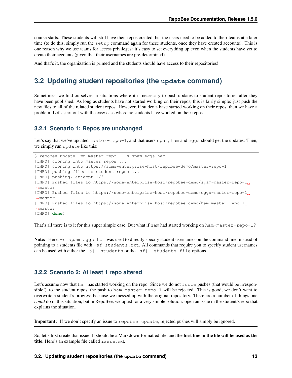course starts. These students will still have their repos created, but the users need to be added to their teams at a later time (to do this, simply run the setup command again for these students, once they have created accounts). This is one reason why we use teams for access privileges: it's easy to set everything up even when the students have yet to create their accounts (given that their usernames are pre-determined).

And that's it, the organization is primed and the students should have access to their repositories!

### <span id="page-16-0"></span>**3.2 Updating student repositories (the update command)**

Sometimes, we find ourselves in situations where it is necessary to push updates to student repositories after they have been published. As long as students have not started working on their repos, this is fairly simple: just push the new files to all of the related student repos. However, if students have started working on their repos, then we have a problem. Let's start out with the easy case where no students have worked on their repos.

#### **3.2.1 Scenario 1: Repos are unchanged**

Let's say that we've updated master-repo-1, and that users spam, ham and eggs should get the updates. Then, we simply run update like this:

```
$ repobee update -mn master-repo-1 -s spam eggs ham
[INFO] cloning into master repos ...
[INFO] cloning into https://some-enterprise-host/repobee-demo/master-repo-1
[INFO] pushing files to student repos ...
[INFO] pushing, attempt 1/3
[INFO] Pushed files to https://some-enterprise-host/repobee-demo/spam-master-repo-1
˓→master
[INFO] Pushed files to https://some-enterprise-host/repobee-demo/eggs-master-repo-1
˓→master
[INFO] Pushed files to https://some-enterprise-host/repobee-demo/ham-master-repo-1
˓→master
[INFO] done!
```
That's all there is to it for this super simple case. But what if ham had started working on ham-master-repo-1?

Note: Here,  $-$ s spam eggs ham was used to directly specify student usernames on the command line, instead of pointing to a students file with -sf students.txt. All commands that require you to specify student usernames can be used with either the  $-s$   $-$ students or the  $-s$   $-$ students-file options.

#### **3.2.2 Scenario 2: At least 1 repo altered**

Let's assume now that ham has started working on the repo. Since we do not force pushes (that would be irresponsible!) to the student repos, the push to ham-master-repo-1 will be rejected. This is good, we don't want to overwrite a student's progress because we messed up with the original repository. There are a number of things one *could* do in this situation, but in RepoBee, we opted for a very simple solution: open an issue in the student's repo that explains the situation.

Important: If we don't specify an issue to repobee update, rejected pushes will simply be ignored.

So, let's first create that issue. It should be a Markdown-formatted file, and the first line in the file will be used as the title. Here's an example file called issue.md.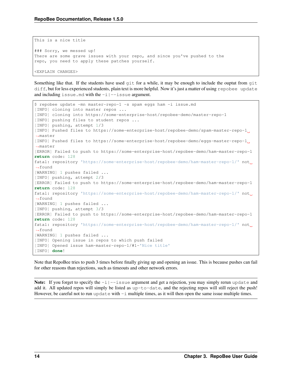```
This is a nice title
### Sorry, we messed up!
There are some grave issues with your repo, and since you've pushed to the
repo, you need to apply these patches yourself.
<EXPLAIN CHANGES>
```
Something like that. If the students have used  $\text{qit}$  for a while, it may be enough to include the ouptut from  $\text{qit}$ diff, but for less experienced students, plain text is more helpful. Now it's just a matter of using repobee update and including issue.md with the  $-i$   $-$ issue argument.

```
$ repobee update -mn master-repo-1 -s spam eggs ham -i issue.md
[INFO] cloning into master repos ...
[INFO] cloning into https://some-enterprise-host/repobee-demo/master-repo-1
[INFO] pushing files to student repos ...
[INFO] pushing, attempt 1/3
[INFO] Pushed files to https://some-enterprise-host/repobee-demo/spam-master-repo-1
˓→master
[INFO] Pushed files to https://some-enterprise-host/repobee-demo/eggs-master-repo-1
˓→master
[ERROR] Failed to push to https://some-enterprise-host/repobee-demo/ham-master-repo-1
return code: 128
fatal: repository 'https://some-enterprise-host/repobee-demo/ham-master-repo-1/' not
ightharpoonupfound
[WARNING] 1 pushes failed ...
[INFO] pushing, attempt 2/3
[ERROR] Failed to push to https://some-enterprise-host/repobee-demo/ham-master-repo-1
return code: 128
fatal: repository 'https://some-enterprise-host/repobee-demo/ham-master-repo-1/' not
˓→found
[WARNING] 1 pushes failed ...
[INFO] pushing, attempt 3/3
[ERROR] Failed to push to https://some-enterprise-host/repobee-demo/ham-master-repo-1
return code: 128
fatal: repository 'https://some-enterprise-host/repobee-demo/ham-master-repo-1/' not
˓→found
[WARNING] 1 pushes failed ...
[INFO] Opening issue in repos to which push failed
[INFO] Opened issue ham-master-repo-1/#1-'Nice title'
[INFO] done!
```
Note that RepoBee tries to push 3 times before finally giving up and opening an issue. This is because pushes can fail for other reasons than rejections, such as timeouts and other network errors.

**Note:** If you forget to specify the  $-i$  -issue argument and get a rejection, you may simply rerun update and add it. All updated repos will simply be listed as up-to-date, and the rejecting repos will still reject the push! However, be careful not to run update with  $-i$  multiple times, as it will then open the same issue multiple times.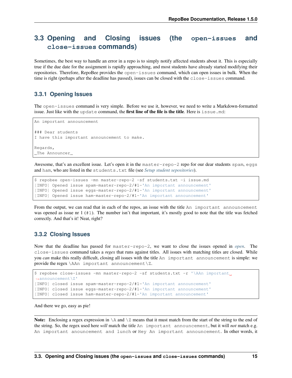# <span id="page-18-0"></span>**3.3 Opening and Closing issues (the open-issues and close-issues commands)**

Sometimes, the best way to handle an error in a repo is to simply notify affected students about it. This is especially true if the due date for the assignment is rapidly approaching, and most students have already started modifying their repositories. Therefore, RepoBee provides the open-issues command, which can open issues in bulk. When the time is right (perhaps after the deadline has passed), issues can be closed with the close-issues command.

#### <span id="page-18-1"></span>**3.3.1 Opening Issues**

The open-issues command is very simple. Before we use it, however, we need to write a Markdown-formatted issue. Just like with the update command, the first line of the file is the title. Here is issue.  $md$ :

```
An important announcement
### Dear students
I have this important announcement to make.
Regards,
_The Announcer_
```
Awesome, that's an excellent issue. Let's open it in the master-repo-2 repo for our dear students spam, eggs and ham, who are listed in the students.txt file (see *[Setup student sepositories](#page-14-0)*).

```
$ repobee open-issues -mn master-repo-2 -sf students.txt -i issue.md
[INFO] Opened issue spam-master-repo-2/#1-'An important announcement'
[INFO] Opened issue eggs-master-repo-2/#1-'An important announcement'
[INFO] Opened issue ham-master-repo-2/#1-'An important announcement'
```
From the output, we can read that in each of the repos, an issue with the title An important announcement was opened as issue nr 1 (#1). The number isn't that important, it's mostly good to note that the title was fetched correctly. And that's it! Neat, right?

#### <span id="page-18-2"></span>**3.3.2 Closing Issues**

Now that the deadline has passed for master-repo-2, we want to close the issues opened in *[open](#page-18-1)*. The close-issues command takes a *regex* that runs against titles. All issues with matching titles are closed. While you *can* make this really difficult, closing all issues with the title An important announcement is simple: we provide the regex \AAn important announcement\Z.

```
$ repobee close-issues -mn master-repo-2 -sf students.txt -r '\AAn important
˓→announcement\Z'
[INFO] closed issue spam-master-repo-2/#1-'An important announcement'
[INFO] closed issue eggs-master-repo-2/#1-'An important announcement'
[INFO] closed issue ham-master-repo-2/#1-'An important announcement'
```
And there we go, easy as pie!

Note: Enclosing a regex expression in  $\setminus A$  and  $\setminus Z$  means that it must match from the start of the string to the end of the string. So, the regex used here *will* match the title An important announcement, but it will *not* match e.g. An important anouncement and lunch or Hey An important announcement. In other words, it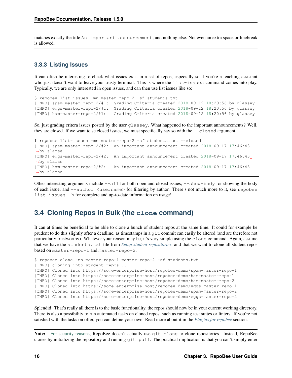matches exactly the title An important announcement, and nothing else. Not even an extra space or linebreak is allowed.

#### **3.3.3 Listing Issues**

It can often be interesting to check what issues exist in a set of repos, especially so if you're a teaching assistant who just doesn't want to leave your trusty terminal. This is where the list-issues command comes into play. Typically, we are only interested in open issues, and can then use list issues like so:

```
$ repobee list-issues -mn master-repo-2 -sf students.txt
[INFO] spam-master-repo-2/#1: Grading Criteria created 2018-09-12 18:20:56 by glassey
[INFO] eggs-master-repo-2/#1: Grading Criteria created 2018-09-12 18:20:56 by glassey
[INFO] ham-master-repo-2/#1: Grading Criteria created 2018-09-12 18:20:56 by glassey
```
So, just grading critera issues posted by the user glassey. What happened to the important announcements? Well, they are closed. If we want to se closed issues, we must specifically say so with the  $-\text{closed argument}$ .

```
$ repobee list-issues -mn master-repo-2 -sf students.txt --closed
[INFO] spam-master-repo-2/#2: An important announcement created 2018-09-17 17:46:43
˓→by slarse
[INFO] eggs-master-repo-2/#2: An important announcement created 2018-09-17 17:46:43
˓→by slarse
[INFO] ham-master-repo-2/#2: An important announcement created 2018-09-17 17:46:43
˓→by slarse
```
Other interesting arguments include  $--a11$  for both open and closed issues,  $--show-body$  for showing the body of each issue, and --author <username> for filtering by author. There's not much more to it, see repobee list-issues -h for complete and up-to-date information on usage!

### <span id="page-19-0"></span>**3.4 Cloning Repos in Bulk (the clone command)**

It can at times be beneficial to be able to clone a bunch of student repos at the same time. It could for example be prudent to do this slightly after a deadline, as timestamps in a git commit can easily be altered (and are therefore not particularly trustworthy). Whatever your reason may be, it's very simple using the clone command. Again, assume that we have the students.txt file from *[Setup student sepositories](#page-14-0)*, and that we want to clone all student repos based on master-repo-1 and master-repo-2.

```
$ repobee clone -mn master-repo-1 master-repo-2 -sf students.txt
[INFO] cloning into student repos ...
[INFO] Cloned into https://some-enterprise-host/repobee-demo/spam-master-repo-1
[INFO] Cloned into https://some-enterprise-host/repobee-demo/ham-master-repo-1
[INFO] Cloned into https://some-enterprise-host/repobee-demo/ham-master-repo-2
[INFO] Cloned into https://some-enterprise-host/repobee-demo/eggs-master-repo-1
[INFO] Cloned into https://some-enterprise-host/repobee-demo/spam-master-repo-2
[INFO] Cloned into https://some-enterprise-host/repobee-demo/eggs-master-repo-2
```
Splendid! That's really all there is to the basic functionality, the repos should now be in your current working directory. There is also a possibility to run automated tasks on cloned repos, such as running test suites or linters. If you're not satisfied with the tasks on offer, you can define your own. Read more about it in the *[Plugins for repobee](#page-24-0)* section.

Note: [For security reasons,](https://github.blog/2012-09-21-easier-builds-and-deployments-using-git-over-https-and-oauth/) RepoBee doesn't actually use git clone to clone repositories. Instead, RepoBee clones by initializing the repository and running git pull. The practical implication is that you can't simply enter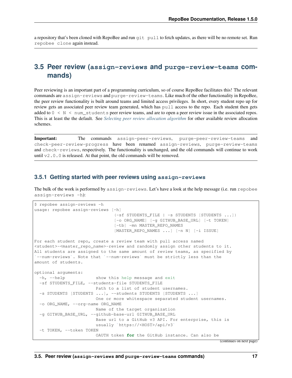a repository that's been cloned with RepoBee and run git pull to fetch updates, as there will be no remote set. Run repobee clone again instead.

### <span id="page-20-0"></span>**3.5 Peer review (assign-reviews and purge-review-teams commands)**

Peer reviewing is an important part of a programming curriculum, so of course RepoBee facilitates this! The relevant commands are assign-reviews and purge-review-teams. Like much of the other functionality in RepoBee, the peer review functionality is built around teams and limited access privileges. In short, every student repo up for review gets an associated peer review team generated, which has pull access to the repo. Each student then gets added to 0 < N < num\_students peer review teams, and are to open a peer review issue in the associated repos. This is at least the the default. See *[Selecting peer review allocation algorithm](#page-24-1)* for other available review allocation schemes.

Important: The commands assign-peer-reviews, purge-peer-review-teams and check-peer-review-progress have been renamed assign-reviews, purge-review-teams and check-reviews, respectively. The functionality is unchanged, and the old commands will continue to work until  $v2.0.0$  is released. At that point, the old commands will be removed.

#### <span id="page-20-1"></span>**3.5.1 Getting started with peer reviews using assign-reviews**

The bulk of the work is performed by assign-reviews. Let's have a look at the help message (i.e. run repobee assign-reviews -h):

```
$ repobee assign-reviews -h
usage: repobee assign-reviews [-h]
                               (-sf STUDENTS_FILE | -s STUDENTS [STUDENTS ...])
                               [-o ORG_NAME] [-g GITHUB_BASE_URL] [-t TOKEN]
                               [-tb] -mn MASTER_REPO_NAMES
                               [MASTER_REPO_NAMES ...] [-n N] [-i ISSUE]
For each student repo, create a review team with pull access named
<student>-<master_repo_name>-review and randomly assign other students to it.
All students are assigned to the same amount of review teams, as specified by
`--num-reviews`. Note that `--num-reviews` must be strictly less than the
amount of students.
optional arguments:
 -h, --help show this help message and exit
 -sf STUDENTS_FILE, --students-file STUDENTS_FILE
                       Path to a list of student usernames.
 -s STUDENTS [STUDENTS ...], --students STUDENTS [STUDENTS ...]
                       One or more whitespace separated student usernames.
 -o ORG_NAME, --org-name ORG_NAME
                       Name of the target organization
 -g GITHUB_BASE_URL, --github-base-url GITHUB_BASE_URL
                       Base url to a GitHub v3 API. For enterprise, this is
                       usually `https://<HOST>/api/v3`
 -t TOKEN, --token TOKEN
                       OAUTH token for the GitHub instance. Can also be
```
(continues on next page)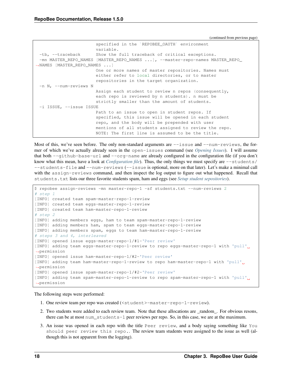(continued from previous page)

```
specified in the `REPOBEE_OAUTH` environment
                       variable.
 -tb, --traceback Show the full traceback of critical exceptions.
 -mn MASTER_REPO_NAMES [MASTER_REPO_NAMES ...], --master-repo-names MASTER_REPO_
˓→NAMES [MASTER_REPO_NAMES ...]
                       One or more names of master repositories. Names must
                       either refer to local directories, or to master
                       repositories in the target organization.
 -n N, --num-reviews N
                       Assign each student to review n repos (consequently,
                       each repo is reviewed by n students). n must be
                       strictly smaller than the amount of students.
 -i ISSUE, --issue ISSUE
                       Path to an issue to open in student repos. If
                       specified, this issue will be opened in each student
                       repo, and the body will be prepended with user
                       mentions of all students assigned to review the repo.
                       NOTE: The first line is assumed to be the title.
```
Most of this, we've seen before. The only non-standard arguments are  $-\text{issue}$  and  $-\text{num-review}$ s, the former of which we've actually already seen in the open-issues command (see *[Opening Issues](#page-18-1)*). I will assume that both --github-base-url and --org-name are already configured in the configuration file (if you don't know what this mean, have a look at *[Configuration file](#page-30-2)*). Thus, the only things we must specify are  $--$ students/ --students-file and --num-reviews (--issue is optional, more on that later). Let's make a minimal call with the assign-reviews command, and then inspect the log output to figure out what happened. Recall that students.txt lists our three favorite students spam, ham and eggs (see *[Setup student sepositories](#page-14-0)*).

```
$ repobee assign-reviews -mn master-repo-1 -sf students.txt --num-reviews 2
# step 1
[INFO] created team spam-master-repo-1-review
[INFO] created team eggs-master-repo-1-review
[INFO] created team ham-master-repo-1-review
# step 2
[INFO] adding members eggs, ham to team spam-master-repo-1-review
[INFO] adding members ham, spam to team eggs-master-repo-1-review
[INFO] adding members spam, eggs to team ham-master-repo-1-review
# steps 3 and 4, interleaved
[INFO] opened issue eggs-master-repo-1/#1-'Peer review'
[INFO] adding team eggs-master-repo-1-review to repo eggs-master-repo-1 with 'pull'
˓→permission
[INFO] opened issue ham-master-repo-1/#2-'Peer review'
[INFO] adding team ham-master-repo-1-review to repo ham-master-repo-1 with 'pull'
˓→permission
[INFO] opened issue spam-master-repo-1/#2-'Peer review'
[INFO] adding team spam-master-repo-1-review to repo spam-master-repo-1 with 'pull'
˓→permission
```
The following steps were performed:

- 1. One review team per repo was created (<student>-master-repo-1-review).
- 2. Two students were added to each review team. Note that these allocations are \_random\_. For obvious resons, there can be at most num\_students-1 peer reviews per repo. So, in this case, we are at the maximum.
- 3. An issue was opened in each repo with the title Peer review, and a body saying something like You should peer review this repo.. The review team students were assigned to the issue as well (although this is not apparent from the logging).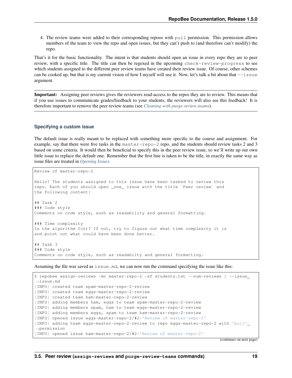4. The review teams were added to their corresponding repoos with pull permission. This permission allows members of the team to view the repo and open issues, but they can't push to (and therefore can't modify) the repo.

That's it for the basic functionality. The intent is that students should open an issue in every repo they are to peer review, with a specific title. The title can then be regexed in the upcoming check-review-progress to see which students assigned to the different peer review teams have created their review issue. Of course, other schemes can be cooked up, but that is my current vision of how I myself will use it. Now, let's talk a bit about that  $-\text{i}$ sue argument.

Important: Assigning peer reviews gives the reviewers read-access to the repos they are to review. This means that if you use issues to communicate grades/feedback to your students, the reviewers will also see this feedback! It is therefore important to remove the peer review teams (see *[Cleaning with purge-review-teams](#page-23-0)*).

#### **Specifying a custom issue**

The default issue is really meant to be replaced with something more specific to the course and assignment. For example, say that there were five tasks in the master-repo-2 repo, and the students should review tasks 2 and 3 based on some criteria. It would then be beneficial to specify this in the peer review issue, so we'll write up our own little issue to replace the default one. Remember that the first line is taken to be the title, in exactly the same way as issue files are treated in *[Opening Issues](#page-18-1)*.

Review of master-repo-2 Hello! The students assigned to this issue have been tasked to review this repo. Each of you should open \_one\_ issue with the title `Peer review` and the following content: ## Task 2 ### Code style Comments on code style, such as readability and general formatting. ### Time complexity Is the algorithm O(n)? If not, try to figure out what time complexity it is and point out what could have been done better. ## Task 3 ### Code style Comments on code style, such as readabilty and general formatting.

Assuming the file was saved as issue.md, we can now run the command specifying the issue like this:

\$ repobee assign-reviews -mn master-repo-2 -sf students.txt --num-reviews 2 --issue ˓<sup>→</sup>issue.md [INFO] created team spam-master-repo-2-review [INFO] created team eggs-master-repo-2-review [INFO] created team ham-master-repo-2-review [INFO] adding members ham, eggs to team spam-master-repo-2-review [INFO] adding members spam, ham to team eggs-master-repo-2-review [INFO] adding members eggs, spam to team ham-master-repo-2-review [INFO] opened issue eggs-master-repo-2/#2-'Review of master-repo-2' [INFO] adding team eggs-master-repo-2-review to repo eggs-master-repo-2 with 'pull' ˓<sup>→</sup>permission [INFO] opened issue ham-master-repo-2/#2-'Review of master-repo-2'

(continues on next page)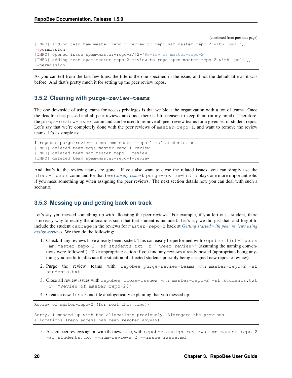(continued from previous page)

```
[INFO] adding team ham-master-repo-2-review to repo ham-master-repo-2 with 'pull'
˓→permission
[INFO] opened issue spam-master-repo-2/#2-'Review of master-repo-2'
[INFO] adding team spam-master-repo-2-review to repo spam-master-repo-2 with 'pull'
˓→permission
```
As you can tell from the last few lines, the title is the one specified in the issue, and not the default title as it was before. And that's pretty much it for setting up the peer review repos.

#### <span id="page-23-0"></span>**3.5.2 Cleaning with purge-review-teams**

The one downside of using teams for access privileges is that we bloat the organization with a ton of teams. Once the deadline has passed and all peer reviews are done, there is little reason to keep them (in my mind). Therefore, the purge-review-teams command can be used to remove all peer review teams for a given set of student repos. Let's say that we're completely done with the peer reviews of master-repo-1, and want to remove the review teams. It's as simple as:

```
$ repobee purge-review-teams -mn master-repo-1 -sf students.txt
[INFO] deleted team eggs-master-repo-1-review
[INFO] deleted team ham-master-repo-1-review
[INFO] deleted team spam-master-repo-1-review
```
And that's it, the review teams are gone. If you also want to close the related issues, you can simply use the close-issues command for that (see *[Closing Issues](#page-18-2)*). purge-review-teams plays one more important role: if you mess something up when assigning the peer reviews. The next section details how you can deal with such a scenario.

#### **3.5.3 Messing up and getting back on track**

Let's say you messed something up with allocating the peer reviews. For example, if you left out a student, there is no easy way to rectify the allocations such that that student is included. Let's say we did just that, and forgot to include the student cabbage in the reviews for master-repo-2 back at *[Getting started with peer reviews using](#page-20-1) [assign-reviews](#page-20-1)*. We then do the following:

- 1. Check if any reviews have already been posted. This can easily be performed with repobee list-issues -mn master-repo-2 -sf students.txt -r '^Peer review\$' (assuming the naming conventions were followed!). Take appropriate action if you find any reviews already posted (appropriate being anything you see fit to alleviate the situation of affected students possibly being assigned new repos to review).
- 2. Purge the review teams with repobee purge-review-teams -mn master-repo-2 -sf students.txt
- 3. Close all review issues with repobee close-issues -mn master-repo-2 -sf students.txt -r '^Review of master-repo-2\$'
- 4. Create a new issue.md file apologetically explaining that you messed up:

```
Review of master-repo-2 (for real this time!)
Sorry, I messed up with the allocations previously. Disregard the previous
allocations (repo access has been revoked anyway).
```
5. Assign peer reviews again, with the new issue, with repobee assign-reviews -mn master-repo-2 -sf students.txt --num-reviews 2 --issue issue.md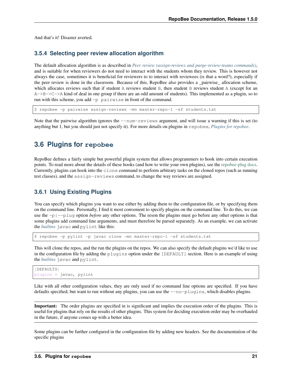And that's it! Disaster averted.

#### <span id="page-24-1"></span>**3.5.4 Selecting peer review allocation algorithm**

The default allocation algorithm is as described in *[Peer review \(assign-reviews and purge-review-teams commands\)](#page-20-0)*, and is suitable for when reviewers do not need to interact with the students whom they review. This is however not always the case, sometimes it is beneficial for reviewers to to interact with reviewees (is that a word?), especially if the peer review is done in the classroom. Because of this, RepoBee also provides a \_pairwise\_ allocation scheme, which allocates reviews such that if student A reviews student B, then student B reviews student A (except for an  $A \rightarrow B \rightarrow C \rightarrow A$  kind of deal in one group if there are an odd amount of students). This implemented as a plugin, so to run with this scheme, you add -p pairwise in front of the command.

\$ repobee -p pairwise assign-reviews -mn master-repo-1 -sf students.txt

Note that the pairwise algorithm ignores the  $-\text{num-reviews}$  argument, and will issue a warning if this is set (to anything but 1, but you should just not specify it). For more details on plugins in repobee, *[Plugins for repobee](#page-24-0)*.

### <span id="page-24-0"></span>**3.6 Plugins for repobee**

RepoBee defines a fairly simple but powerful plugin system that allows programmers to hook into certain execution points. To read more about the details of these hooks (and how to write your own plugins), see the [repobee-plug docs.](https://repobee-plug.readthedocs.io/en/latest/) Currently, plugins can hook into the clone command to perform arbitrary tasks on the cloned repos (such as running test classes), and the assign-reviews command, to change the way reviews are assigned.

### <span id="page-24-2"></span>**3.6.1 Using Existing Plugins**

You can specify which plugins you want to use either by adding them to the configuration file, or by specifying them on the command line. Personally, I find it most convenient to specify plugins on the command line. To do this, we can use the -p|--plug option *before* any other options. The reson the plugins must go before any other options is that some plugins add command line arguments, and must therefore be parsed separately. As an example, we can activate the *[builtins](#page-25-0)* javac and pylint like this:

\$ repobee -p pylint -p javac clone -mn master-repo-1 -sf students.txt

This will clone the repos, and the run the plugins on the repos. We can also specify the default plugins we'd like to use in the configuration file by adding the plugins option under the [DEFAULT] section. Here is an example of using the *[builtins](#page-25-0)* javac and pylint.

```
[DEFAULTS]
plugins = javac, pylint
```
Like with all other configuration values, they are only used if no command line options are specified. If you have defaults specified, but want to run without any plugins, you can use the --no-plugins, which disables plugins.

Important: The order plugins are specified in is significant and implies the execution order of the plugins. This is useful for plugins that rely on the results of other plugins. This system for deciding execution order may be overhauled in the future, if anyone comes up with a better idea.

Some plugins can be further configured in the configuration file by adding new headers. See the documentation of the specific plugins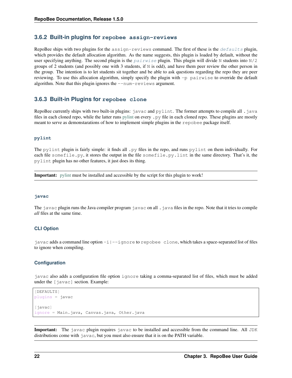#### **3.6.2 Built-in plugins for repobee assign-reviews**

RepoBee ships with two plugins for the assign-reviews command. The first of these is the  $defaults$  plugin, which provides the default allocation algorithm. As the name suggests, this plugin is loaded by default, without the user specifying anything. The second plugin is the  $pairwise$  plugin. This plugin will divide N students into  $N/2$ groups of 2 students (and possibly one with 3 students, if  $N$  is odd), and have them peer review the other person in the group. The intention is to let students sit together and be able to ask questions regarding the repo they are peer reviewing. To use this allocation algorithm, simply specify the plugin with -p pairwise to override the default algorithm. Note that this plugin ignores the --num-reviews argument.

#### <span id="page-25-0"></span>**3.6.3 Built-in Plugins for repobee clone**

RepoBee currently ships with two built-in plugins: javac and pylint. The former attempts to compile all .java files in each cloned repo, while the latter runs [pylint](https://www.pylint.org/) on every . py file in each cloned repo. These plugins are mostly meant to serve as demonstarations of how to implement simple plugins in the repobee package itself.

#### **pylint**

The pylint plugin is fairly simple: it finds all .py files in the repo, and runs pylint on them individually. For each file somefile.py, it stores the output in the file somefile.py.lint in the same directory. That's it, the pylint plugin has no other features, it just does its thing.

Important: [pylint](https://www.pylint.org/) must be installed and accessible by the script for this plugin to work!

#### **javac**

The javac plugin runs the Java compiler program javac on all  $\cdot$  java files in the repo. Note that it tries to compile *all* files at the same time.

#### **CLI Option**

javac adds a command line option  $-i$  |--ignore to repobee clone, which takes a space-separated list of files to ignore when compiling.

#### **Configuration**

javac also adds a configuration file option ignore taking a comma-separated list of files, which must be added under the  $\lceil$  javac] section. Example:

```
[DEFAULTS]
plugins = javac
[javac]
ignore = Main.java, Canvas.java, Other.java
```
Important: The javac plugin requires javac to be installed and accessible from the command line. All JDK distributions come with javac, but you must also ensure that it is on the PATH variable.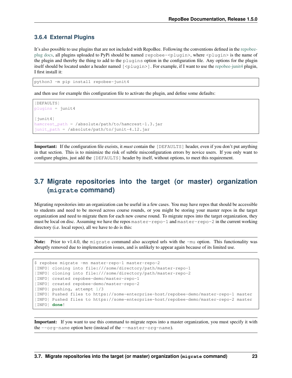### **3.6.4 External Plugins**

It's also possible to use plugins that are not included with RepoBee. Following the conventions defined in the [repobee](https://repobee-plug.readthedocs.io/en/latest/)[plug docs,](https://repobee-plug.readthedocs.io/en/latest/) all plugins uploaded to PyPi should be named repobee-<plugin>, where <plugin> is the name of the plugin and thereby the thing to add to the plugins option in the configuration file. Any options for the plugin itself should be located under a header named  $[\langle \text{pluqin} \rangle]$ . For example, if I want to use the [repobee-junit4](https://github.com/repobee/repobee-junit4) plugin, I first install it:

python3 -m pip install repobee-junit4

and then use for example this configuration file to activate the plugin, and define some defaults:

```
[DEFAULTS]
plugins = junit4
[junit4]
hamcrest_path = /absolute/path/to/hamcrest-1.3.jar
junit_path = /absolute/path/to/junit-4.12.jar
```
Important: If the configuration file exeists, it *must* contain the [DEFAULTS] header, even if you don't put anything in that section. This is to minimize the risk of subtle misconfiguration errors by novice users. If you only want to configure plugins, just add the [DEFAULTS] header by itself, without options, to meet this requirement.

## <span id="page-26-0"></span>**3.7 Migrate repositories into the target (or master) organization (migrate command)**

Migrating repositories into an organization can be useful in a few cases. You may have repos that should be accessible to students and need to be moved across course rounds, or you might be storing your master repos in the target organization and need to migrate them for each new course round. To migrate repos into the target organization, they must be local on disc. Assuming we have the repos master-repo-1 and master-repo-2 in the current working directory (i.e. local repos), all we have to do is this:

Note: Prior to v1.4.0, the migrate command also accepted urls with the  $-mu$  option. This functionality was abruptly removed due to implementation issues, and is unlikely to appear again because of its limited use.

```
$ repobee migrate -mn master-repo-1 master-repo-2
[INFO] cloning into file:///some/directory/path/master-repo-1
[INFO] cloning into file:///some/directory/path/master-repo-2
[INFO] created repobee-demo/master-repo-1
[INFO] created repobee-demo/master-repo-2
[INFO] pushing, attempt 1/3
[INFO] Pushed files to https://some-enterprise-host/repobee-demo/master-repo-1 master
[INFO] Pushed files to https://some-enterprise-host/repobee-demo/master-repo-2 master
[INFO] done!
```
Important: If you want to use this command to migrate repos into a master organization, you must specify it with the --org-name option here (instead of the --master-org-name).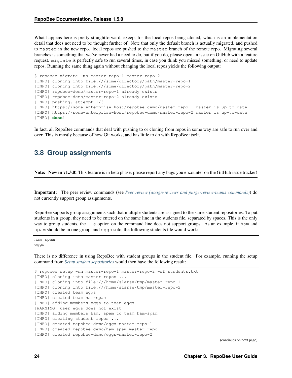What happens here is pretty straightforward, except for the local repos being cloned, which is an implementation detail that does not need to be thought further of. Note that only the defualt branch is actually migrated, and pushed to master in the new repo. local repos are pushed to the master branch of the remote repo. Migrating several branches is something that we've never had a need to do, but if you do, please open an issue on GitHub with a feature request. migrate is perfectly safe to run several times, in case you think you missed something, or need to update repos. Running the same thing again without changing the local repos yields the following output:

```
$ repobee migrate -mn master-repo-1 master-repo-2
[INFO] cloning into file:///some/directory/path/master-repo-1
[INFO] cloning into file:///some/directory/path/master-repo-2
[INFO] repobee-demo/master-repo-1 already exists
[INFO] repobee-demo/master-repo-2 already exists
[INFO] pushing, attempt 1/3
[INFO] https://some-enterprise-host/repobee-demo/master-repo-1 master is up-to-date
[INFO] https://some-enterprise-host/repobee-demo/master-repo-2 master is up-to-date
[INFO] done!
```
In fact, all RepoBee commands that deal with pushing to or cloning from repos in some way are safe to run over and over. This is mostly because of how Git works, and has little to do with RepoBee itself.

### <span id="page-27-0"></span>**3.8 Group assignments**

Note: New in v1.3.0! This feature is in beta phase, please report any bugs you encounter on the GitHub issue tracker!

Important: The peer review commands (see *[Peer review \(assign-reviews and purge-review-teams commands\)](#page-20-0)*) do not currently support group assignments.

RepoBee supports group assignments such that multiple students are assigned to the same student repositories. To put students in a group, they need to be entered on the same line in the students file, separated by spaces. This is the only way to group students, the --s option on the command line does not support groups. As an example, if ham and spam should be in one group, and eggs solo, the following students file would work:

ham spam eggs

There is no difference in using RepoBee with student groups in the student file. For example, running the setup command from *[Setup student sepositories](#page-14-0)* would then have the following result:

```
$ repobee setup -mn master-repo-1 master-repo-2 -sf students.txt
[INFO] cloning into master repos ...
[INFO] cloning into file:///home/slarse/tmp/master-repo-1
[INFO] cloning into file:///home/slarse/tmp/master-repo-2
[INFO] created team eggs
[INFO] created team ham-spam
[INFO] adding members eggs to team eggs
[WARNING] user eggs does not exist
[INFO] adding members ham, spam to team ham-spam
[INFO] creating student repos ...
[INFO] created repobee-demo/eggs-master-repo-1
[INFO] created repobee-demo/ham-spam-master-repo-1
[INFO] created repobee-demo/eggs-master-repo-2
```
(continues on next page)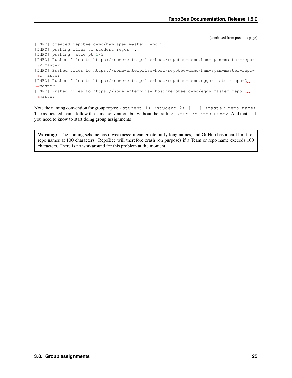(continued from previous page)

```
[INFO] created repobee-demo/ham-spam-master-repo-2
[INFO] pushing files to student repos ...
[INFO] pushing, attempt 1/3
[INFO] Pushed files to https://some-enterprise-host/repobee-demo/ham-spam-master-repo-
˓→2 master
[INFO] Pushed files to https://some-enterprise-host/repobee-demo/ham-spam-master-repo-
˓→1 master
[INFO] Pushed files to https://some-enterprise-host/repobee-demo/eggs-master-repo-2
˓→master
[INFO] Pushed files to https://some-enterprise-host/repobee-demo/eggs-master-repo-1
˓→master
```
Note the naming convention for group repos: <student-1>-<student-2>-[...]-<master-repo-name>. The associated teams follow the same convention, but without the trailing  $-\langle$ master-repo-name>. And that is all you need to know to start doing group assignments!

Warning: The naming scheme has a weakness: it can create fairly long names, and GitHub has a hard limit for repo names at 100 characters. RepoBee will therefore crash (on purpose) if a Team or repo name exceeds 100 characters. There is no workaround for this problem at the moment.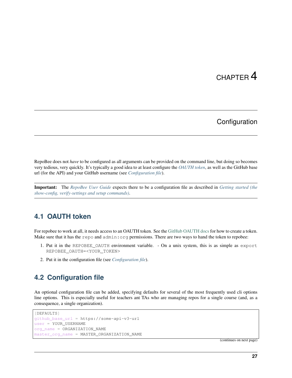# CHAPTER 4

## **Configuration**

<span id="page-30-0"></span>RepoBee does not *have* to be configured as all arguments can be provided on the command line, but doing so becomes very tedious, very quickly. It's typically a good idea to at least configure the *[OAUTH token](#page-30-1)*, as well as the GitHub base url (for the API) and your GitHub username (see *[Configuration file](#page-30-2)*).

Important: The *[RepoBee User Guide](#page-12-0)* expects there to be a configuration file as described in *[Getting started \(the](#page-12-1) [show-config, verify-settings and setup commands\)](#page-12-1)*.

### <span id="page-30-1"></span>**4.1 OAUTH token**

For repobee to work at all, it needs access to an OAUTH token. See the [GitHub OAUTH docs](https://help.github.com/articles/creating-a-personal-access-token-for-the-command-line/) for how to create a token. Make sure that it has the repo and admin:org permissions. There are two ways to hand the token to repobee:

- 1. Put it in the REPOBEE\_OAUTH environment variable. On a unix system, this is as simple as export REPOBEE\_OAUTH=<YOUR\_TOKEN>
- 2. Put it in the configuration file (see *[Configuration file](#page-30-2)*).

### <span id="page-30-2"></span>**4.2 Configuration file**

An optional configuration file can be added, specifying defaults for several of the most frequently used cli options line options. This is especially useful for teachers ant TAs who are managing repos for a single course (and, as a consequence, a single organization).

```
[DEFAULTS]
github_base_url = https://some-api-v3-url
user = YOUR_USERNAME
org_name = ORGANIZATION_NAME
master_org_name = MASTER_ORGANIZATION_NAME
```
(continues on next page)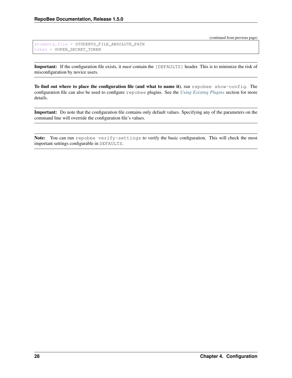(continued from previous page)

```
students_file = STUDENTS_FILE_ABSOLUTE_PATH
token = SUPER_SECRET_TOKEN
```
Important: If the configuration file exists, it *must* contain the [DEFAULTS] header. This is to minimize the risk of misconfiguration by novice users.

To find out where to place the configuration file (and what to name it), run repobee show-config. The configuration file can also be used to configure repobee plugins. See the *[Using Existing Plugins](#page-24-2)* section for more details.

Important: Do note that the configuration file contains only default values. Specifying any of the parameters on the command line will override the configuration file's values.

Note: You can run repobee verify-settings to verify the basic configuration. This will check the most important settings configurable in DEFAULTS.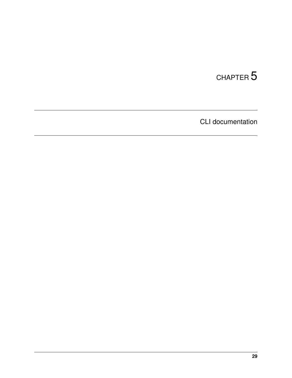# <span id="page-32-0"></span>CHAPTER 5

CLI documentation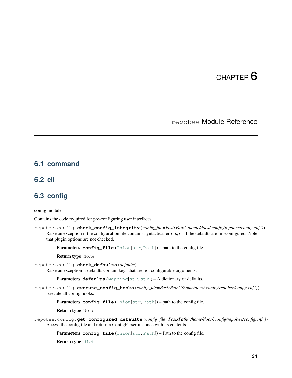# CHAPTER 6

### repobee Module Reference

### <span id="page-34-5"></span><span id="page-34-1"></span><span id="page-34-0"></span>**6.1 command**

### <span id="page-34-2"></span>**6.2 cli**

### <span id="page-34-3"></span>**6.3 config**

config module.

Contains the code required for pre-configuring user interfaces.

<span id="page-34-4"></span>repobee.config.**check\_config\_integrity**(*config\_file=PosixPath('/home/docs/.config/repobee/config.cnf ')*) Raise an exception if the configuration file contains syntactical errors, or if the defaults are misconfigured. Note that plugin options are not checked.

Parameters config\_file ([Union](https://docs.python.org/3/library/typing.html#typing.Union)[[str](https://docs.python.org/3/library/stdtypes.html#str), [Path](https://docs.python.org/3/library/pathlib.html#pathlib.Path)]) – path to the config file.

Return type None

repobee.config.**check\_defaults**(*defaults*)

Raise an exception if defaults contain keys that are not configurable arguments.

Parameters defaults ([Mapping](https://docs.python.org/3/library/typing.html#typing.Mapping)[[str](https://docs.python.org/3/library/stdtypes.html#str), str]) - A dictionary of defaults.

repobee.config.**execute\_config\_hooks**(*config\_file=PosixPath('/home/docs/.config/repobee/config.cnf ')*) Execute all config hooks.

Parameters config\_file ([Union](https://docs.python.org/3/library/typing.html#typing.Union)[[str](https://docs.python.org/3/library/stdtypes.html#str), [Path](https://docs.python.org/3/library/pathlib.html#pathlib.Path)]) - path to the config file.

Return type None

repobee.config.**get\_configured\_defaults**(*config\_file=PosixPath('/home/docs/.config/repobee/config.cnf ')*) Access the config file and return a ConfigParser instance with its contents.

Parameters config\_file ([Union](https://docs.python.org/3/library/typing.html#typing.Union)[[str](https://docs.python.org/3/library/stdtypes.html#str), [Path](https://docs.python.org/3/library/pathlib.html#pathlib.Path)]) - Path to the config file.

Return type [dict](https://docs.python.org/3/library/stdtypes.html#dict)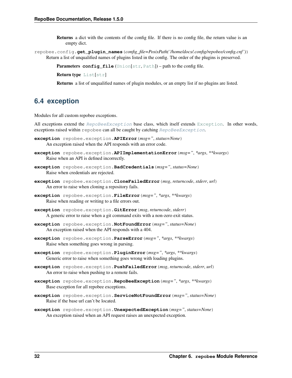- <span id="page-35-3"></span>Returns a dict with the contents of the config file. If there is no config file, the return value is an empty dict.
- repobee.config.**get\_plugin\_names**(*config\_file=PosixPath('/home/docs/.config/repobee/config.cnf ')*) Return a list of unqualified names of plugins listed in the config. The order of the plugins is preserved.
	- Parameters config file ([Union](https://docs.python.org/3/library/typing.html#typing.Union)[[str](https://docs.python.org/3/library/stdtypes.html#str), [Path](https://docs.python.org/3/library/pathlib.html#pathlib.Path)]) path to the config file.

Return type [List](https://docs.python.org/3/library/typing.html#typing.List)[[str](https://docs.python.org/3/library/stdtypes.html#str)]

Returns a list of unqualified names of plugin modules, or an empty list if no plugins are listed.

### <span id="page-35-0"></span>**6.4 exception**

Modules for all custom repobee exceptions.

All exceptions extend the [RepoBeeException](#page-35-1) base class, which itself extends [Exception](https://docs.python.org/3/library/exceptions.html#Exception). In other words, exceptions raised within repobee can all be caught by catching  $RepoBeeException$ .

- <span id="page-35-2"></span>**exception** repobee.exception.**APIError**(*msg="*, *status=None*) An exception raised when the API responds with an error code.
- **exception** repobee.exception.**APIImplementationError**(*msg="*, *\*args*, *\*\*kwargs*) Raise when an API is defined incorrectly.
- **exception** repobee.exception.**BadCredentials**(*msg="*, *status=None*) Raise when credentials are rejected.
- **exception** repobee.exception.**CloneFailedError**(*msg*, *returncode*, *stderr*, *url*) An error to raise when cloning a repository fails.
- **exception** repobee.exception.**FileError**(*msg="*, *\*args*, *\*\*kwargs*) Raise when reading or writing to a file errors out.
- **exception** repobee.exception.**GitError**(*msg*, *returncode*, *stderr*) A generic error to raise when a git command exits with a non-zero exit status.
- **exception** repobee.exception.**NotFoundError**(*msg="*, *status=None*) An exception raised when the API responds with a 404.
- **exception** repobee.exception.**ParseError**(*msg="*, *\*args*, *\*\*kwargs*) Raise when something goes wrong in parsing.
- **exception** repobee.exception.**PluginError**(*msg="*, *\*args*, *\*\*kwargs*) Generic error to raise when something goes wrong with loading plugins.
- **exception** repobee.exception.**PushFailedError**(*msg*, *returncode*, *stderr*, *url*) An error to raise when pushing to a remote fails.
- <span id="page-35-1"></span>**exception** repobee.exception.**RepoBeeException**(*msg="*, *\*args*, *\*\*kwargs*) Base exception for all repobee exceptions.
- **exception** repobee.exception.**ServiceNotFoundError**(*msg="*, *status=None*) Raise if the base url can't be located.
- **exception** repobee.exception.**UnexpectedException**(*msg="*, *status=None*) An exception raised when an API request raises an unexpected exception.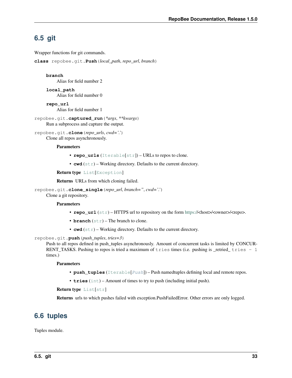## <span id="page-36-3"></span><span id="page-36-0"></span>**6.5 git**

Wrapper functions for git commands.

<span id="page-36-2"></span>**class** repobee.git.**Push**(*local\_path*, *repo\_url*, *branch*)

#### **branch**

**repo\_url**

Alias for field number 2

**local\_path** Alias for field number 0

Alias for field number 1 repobee.git.**captured\_run**(*\*args*, *\*\*kwargs*)

Run a subprocess and capture the output.

repobee.git.**clone**(*repo\_urls*, *cwd='.'*) Clone all repos asynchronously.

#### **Parameters**

- **repo\_urls** ([Iterable](https://docs.python.org/3/library/typing.html#typing.Iterable)[[str](https://docs.python.org/3/library/stdtypes.html#str)]) URLs to repos to clone.
- **cwd**  $(str)$  $(str)$  $(str)$  Working directory. Defaults to the current directory.

Return type [List](https://docs.python.org/3/library/typing.html#typing.List)[[Exception](https://docs.python.org/3/library/exceptions.html#Exception)]

Returns URLs from which cloning failed.

repobee.git.**clone\_single**(*repo\_url*, *branch="*, *cwd='.'*) Clone a git repository.

#### **Parameters**

- **repo\_url** ([str](https://docs.python.org/3/library/stdtypes.html#str)) HTTPS url to repository on the form [https://](https:/)<host>/<owner>/<repo>.
- **branch** ([str](https://docs.python.org/3/library/stdtypes.html#str)) The branch to clone.
- **cwd** ([str](https://docs.python.org/3/library/stdtypes.html#str)) Working directory. Defaults to the current directory.

repobee.git.**push**(*push\_tuples*, *tries=3*)

Push to all repos defined in push\_tuples asynchronously. Amount of concurrent tasks is limited by CONCUR-RENT\_TASKS. Pushing to repos is tried a maximum of tries times (i.e. pushing is \_retried\_ tries  $-1$ times.)

#### **Parameters**

- **push\_tuples** ([Iterable](https://docs.python.org/3/library/typing.html#typing.Iterable)[[Push](#page-36-2)]) Push namedtuples defining local and remote repos.
- **tries** ([int](https://docs.python.org/3/library/functions.html#int)) Amount of times to try to push (including initial push).

#### Return type [List](https://docs.python.org/3/library/typing.html#typing.List)[[str](https://docs.python.org/3/library/stdtypes.html#str)]

Returns urls to which pushes failed with exception.PushFailedError. Other errors are only logged.

### <span id="page-36-1"></span>**6.6 tuples**

Tuples module.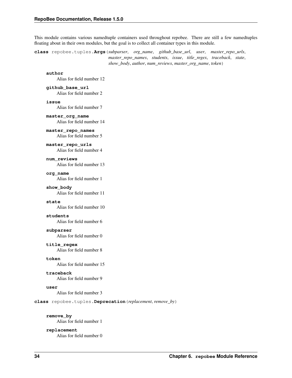<span id="page-37-2"></span>This module contains various namedtuple containers used throughout repobee. There are still a few namedtuples floating about in their own modules, but the goal is to collect all container types in this module.

<span id="page-37-1"></span>**class** repobee.tuples.**Args**(*subparser*, *org\_name*, *github\_base\_url*, *user*, *master\_repo\_urls*, *master\_repo\_names*, *students*, *issue*, *title\_regex*, *traceback*, *state*, *show\_body*, *author*, *num\_reviews*, *master\_org\_name*, *token*)

**author**

Alias for field number 12

**github\_base\_url** Alias for field number 2

**issue**

Alias for field number 7

**master\_org\_name** Alias for field number 14

**master\_repo\_names** Alias for field number 5

**master\_repo\_urls**

Alias for field number 4

**num\_reviews** Alias for field number 13

**org\_name**

Alias for field number 1

**show\_body**

Alias for field number 11

#### **state**

Alias for field number 10

#### **students**

Alias for field number 6

#### **subparser**

Alias for field number 0

#### **title\_regex**

Alias for field number 8

**token**

Alias for field number 15

#### **traceback**

Alias for field number 9

#### **user**

Alias for field number 3

**class** repobee.tuples.**Deprecation**(*replacement*, *remove\_by*)

#### **remove\_by**

Alias for field number 1

#### <span id="page-37-0"></span>**replacement**

Alias for field number 0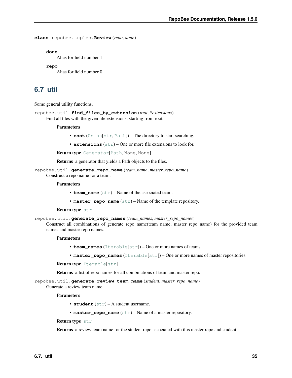```
class repobee.tuples.Review(repo, done)
```
**done**

Alias for field number 1

**repo**

Alias for field number 0

### <span id="page-38-0"></span>**6.7 util**

Some general utility functions.

<span id="page-38-1"></span>repobee.util.**find\_files\_by\_extension**(*root*, *\*extensions*) Find all files with the given file extensions, starting from root.

**Parameters** 

- **root** ([Union](https://docs.python.org/3/library/typing.html#typing.Union)[[str](https://docs.python.org/3/library/stdtypes.html#str), [Path](https://docs.python.org/3/library/pathlib.html#pathlib.Path)]) The directory to start searching.
- **extensions** ([str](https://docs.python.org/3/library/stdtypes.html#str)) One or more file extensions to look for.

Return type [Generator](https://docs.python.org/3/library/typing.html#typing.Generator)[[Path](https://docs.python.org/3/library/pathlib.html#pathlib.Path), None, None]

Returns a generator that yields a Path objects to the files.

repobee.util.**generate\_repo\_name**(*team\_name*, *master\_repo\_name*) Construct a repo name for a team.

#### **Parameters**

- **team\_name** ([str](https://docs.python.org/3/library/stdtypes.html#str)) Name of the associated team.
- master\_repo\_name  $(\text{str})$  $(\text{str})$  $(\text{str})$  Name of the template repository.

#### Return type [str](https://docs.python.org/3/library/stdtypes.html#str)

repobee.util.**generate\_repo\_names**(*team\_names*, *master\_repo\_names*)

Construct all combinations of generate repo\_name(team\_name, master\_repo\_name) for the provided team names and master repo names.

#### **Parameters**

- **team\_names** ([Iterable](https://docs.python.org/3/library/typing.html#typing.Iterable)[[str](https://docs.python.org/3/library/stdtypes.html#str)]) One or more names of teams.
- **master\_repo\_names** ([Iterable](https://docs.python.org/3/library/typing.html#typing.Iterable)[[str](https://docs.python.org/3/library/stdtypes.html#str)]) One or more names of master repositories.

#### Return type [Iterable](https://docs.python.org/3/library/typing.html#typing.Iterable)[[str](https://docs.python.org/3/library/stdtypes.html#str)]

Returns a list of repo names for all combinations of team and master repo.

repobee.util.**generate\_review\_team\_name**(*student*, *master\_repo\_name*)

Generate a review team name.

#### **Parameters**

- **student** ([str](https://docs.python.org/3/library/stdtypes.html#str)) A student username.
- master\_repo\_name  $(\text{str})$  $(\text{str})$  $(\text{str})$  Name of a master repository.

#### Return type [str](https://docs.python.org/3/library/stdtypes.html#str)

Returns a review team name for the student repo associated with this master repo and student.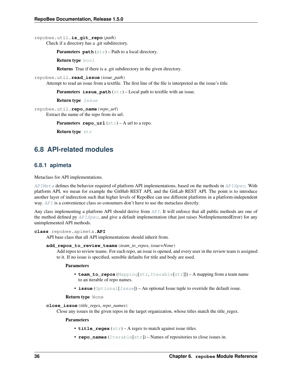<span id="page-39-3"></span>repobee.util.**is\_git\_repo**(*path*)

Check if a directory has a .git subdirectory.

Parameters **path** ([str](https://docs.python.org/3/library/stdtypes.html#str)) – Path to a local directory.

Return type [bool](https://docs.python.org/3/library/functions.html#bool)

Returns True if there is a .git subdirectory in the given directory.

repobee.util.**read\_issue**(*issue\_path*)

Attempt to read an issue from a textfile. The first line of the file is interpreted as the issue's title.

Parameters issue\_path ([str](https://docs.python.org/3/library/stdtypes.html#str)) – Local path to textfile with an issue.

Return type [Issue](#page-44-0)

repobee.util.**repo\_name**(*repo\_url*) Extract the name of the repo from its url.

Parameters **repo\_url**  $(\text{str})$  $(\text{str})$  $(\text{str})$  – A url to a repo.

Return type [str](https://docs.python.org/3/library/stdtypes.html#str)

### <span id="page-39-0"></span>**6.8 API-related modules**

#### <span id="page-39-2"></span>**6.8.1 apimeta**

Metaclass for API implementations.

 $AP$  *IMeta* defines the behavior required of platform API implementations, based on the methods in  $APISpec$ . With platform API, we mean for example the GitHub REST API, and the GitLab REST API. The point is to introduce another layer of indirection such that higher levels of RepoBee can use different platforms in a platform-independent way.  $API$  is a convenience class so consumers don't have to use the metaclass directly.

Any class implementing a platform API should derive from [API](#page-39-1). It will enforce that all public methods are one of the method defined py [APISpec](#page-41-1), and give a default implementation (that just raises NotImplementedError) for any unimplemented API methods.

<span id="page-39-1"></span>**class** repobee.apimeta.**API**

API base class that all API implementations should inherit from.

```
add_repos_to_review_teams(team_to_repos, issue=None)
```
Add repos to review teams. For each repo, an issue is opened, and every user in the review team is assigned to it. If no issue is specified, sensible defaults for title and body are used.

#### **Parameters**

- **team\_to\_repos** ([Mapping](https://docs.python.org/3/library/typing.html#typing.Mapping)[[str](https://docs.python.org/3/library/stdtypes.html#str), [Iterable](https://docs.python.org/3/library/typing.html#typing.Iterable)[[str](https://docs.python.org/3/library/stdtypes.html#str)]]) A mapping from a team name to an iterable of repo names.
- **issue** ([Optional](https://docs.python.org/3/library/typing.html#typing.Optional) [*[Issue](#page-44-0)*]) An optional Issue tuple to override the default issue.

#### Return type None

**close\_issue**(*title\_regex*, *repo\_names*)

Close any issues in the given repos in the target organization, whose titles match the title\_regex.

#### Parameters

- **title\_regex** ([str](https://docs.python.org/3/library/stdtypes.html#str)) A regex to match against issue titles.
- **repo\_names** ([Iterable](https://docs.python.org/3/library/typing.html#typing.Iterable)[[str](https://docs.python.org/3/library/stdtypes.html#str)]) Names of repositories to close issues in.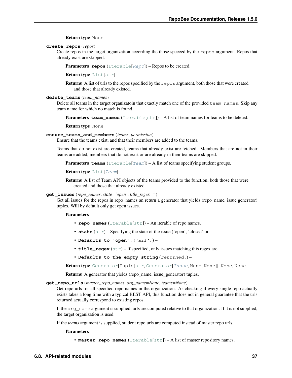#### Return type None

#### <span id="page-40-0"></span>**create\_repos**(*repos*)

Create repos in the target organization according the those specced by the repos argument. Repos that already exist are skipped.

Parameters repos ([Iterable](https://docs.python.org/3/library/typing.html#typing.Iterable)[[Repo](#page-44-1)]) – Repos to be created.

Return type [List](https://docs.python.org/3/library/typing.html#typing.List)[[str](https://docs.python.org/3/library/stdtypes.html#str)]

Returns A list of urls to the repos specified by the repos argument, both those that were created and those that already existed.

#### **delete\_teams**(*team\_names*)

Delete all teams in the target organizatoin that exactly match one of the provided team\_names. Skip any team name for which no match is found.

Parameters team\_names ([Iterable](https://docs.python.org/3/library/typing.html#typing.Iterable)[[str](https://docs.python.org/3/library/stdtypes.html#str)]) – A list of team names for teams to be deleted.

Return type None

#### **ensure\_teams\_and\_members**(*teams*, *permission*)

Ensure that the teams exist, and that their members are added to the teams.

Teams that do not exist are created, teams that already exist are fetched. Members that are not in their teams are added, members that do not exist or are already in their teams are skipped.

Parameters teams ([Iterable](https://docs.python.org/3/library/typing.html#typing.Iterable)[[Team](#page-44-2)]) - A list of teams specifying student groups.

Return type [List](https://docs.python.org/3/library/typing.html#typing.List)[[Team](#page-44-2)]

Returns A list of Team API objects of the teams provided to the function, both those that were created and those that already existed.

#### **get\_issues**(*repo\_names*, *state='open'*, *title\_regex="*)

Get all issues for the repos in repo\_names an return a generator that yields (repo\_name, issue generator) tuples. Will by default only get open issues.

#### **Parameters**

- **repo\_names** ([Iterable](https://docs.python.org/3/library/typing.html#typing.Iterable)[[str](https://docs.python.org/3/library/stdtypes.html#str)]) An iterable of repo names.
- **state** ([str](https://docs.python.org/3/library/stdtypes.html#str)) Specifying the state of the issue ('open', 'closed' or
- **Defaults to 'open'.** ('all')) –
- **title\_regex** ([str](https://docs.python.org/3/library/stdtypes.html#str)) If specified, only issues matching this regex are
- **Defaults to the empty string** (returned.) –

Return type [Generator](https://docs.python.org/3/library/typing.html#typing.Generator)[Tuple[[str](https://docs.python.org/3/library/stdtypes.html#str), [Generator](https://docs.python.org/3/library/typing.html#typing.Generator)[[Issue](#page-44-0), None, None]], None, None]

Returns A generator that yields (repo\_name, issue\_generator) tuples.

**get\_repo\_urls**(*master\_repo\_names*, *org\_name=None*, *teams=None*)

Get repo urls for all specified repo names in the organization. As checking if every single repo actually exists takes a long time with a typical REST API, this function does not in general guarantee that the urls returned actually correspond to existing repos.

If the org\_name argument is supplied, urls are computed relative to that organization. If it is not supplied, the target organization is used.

If the *teams* argument is supplied, student repo urls are computed instead of master repo urls.

Parameters

• **master repo names** ([Iterable](https://docs.python.org/3/library/typing.html#typing.Iterable)[[str](https://docs.python.org/3/library/stdtypes.html#str)]) – A list of master repository names.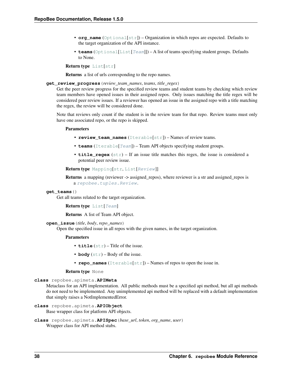- <span id="page-41-2"></span>• **org** name ([Optional](https://docs.python.org/3/library/typing.html#typing.Optional)[[str](https://docs.python.org/3/library/stdtypes.html#str)]) – Organization in which repos are expected. Defaults to the target organization of the API instance.
- **teams** ([Optional](https://docs.python.org/3/library/typing.html#typing.Optional)[[List](https://docs.python.org/3/library/typing.html#typing.List)[[Team](#page-44-2)]]) A list of teams specifying student groups. Defaults to None.

Return type [List](https://docs.python.org/3/library/typing.html#typing.List)[[str](https://docs.python.org/3/library/stdtypes.html#str)]

Returns a list of urls corresponding to the repo names.

#### **get\_review\_progress**(*review\_team\_names*, *teams*, *title\_regex*)

Get the peer review progress for the specified review teams and student teams by checking which review team members have opened issues in their assigned repos. Only issues matching the title regex will be considered peer review issues. If a reviewer has opened an issue in the assigned repo with a title matching the regex, the review will be considered done.

Note that reviews only count if the student is in the review team for that repo. Review teams must only have one associated repo, or the repo is skipped.

#### **Parameters**

- **review team names** ([Iterable](https://docs.python.org/3/library/typing.html#typing.Iterable)[[str](https://docs.python.org/3/library/stdtypes.html#str)]) Names of review teams.
- **teams** ([Iterable](https://docs.python.org/3/library/typing.html#typing.Iterable)[[Team](#page-44-2)]) Team API objects specifying student groups.
- **title\_regex** ([str](https://docs.python.org/3/library/stdtypes.html#str)) If an issue title matches this regex, the issue is considered a potential peer review issue.

#### Return type [Mapping](https://docs.python.org/3/library/typing.html#typing.Mapping)[[str](https://docs.python.org/3/library/stdtypes.html#str), [List](https://docs.python.org/3/library/typing.html#typing.List)[[Review](#page-37-0)]]

Returns a mapping (reviewer -> assigned repos), where reviewer is a str and assigned repos is a [repobee.tuples.Review](#page-37-0).

#### **get\_teams**()

Get all teams related to the target organization.

#### Return type [List](https://docs.python.org/3/library/typing.html#typing.List)[[Team](#page-44-2)]

Returns A list of Team API object.

#### **open\_issue**(*title*, *body*, *repo\_names*)

Open the specified issue in all repos with the given names, in the target organization.

#### Parameters

- **title** ([str](https://docs.python.org/3/library/stdtypes.html#str)) Title of the issue.
- **body**  $(s \text{tr})$  Body of the issue.
- **repo\_names** ([Iterable](https://docs.python.org/3/library/typing.html#typing.Iterable)[[str](https://docs.python.org/3/library/stdtypes.html#str)]) Names of repos to open the issue in.

#### Return type None

#### <span id="page-41-0"></span>**class** repobee.apimeta.**APIMeta**

Metaclass for an API implementation. All public methods must be a specified api method, but all api methods do not need to be implemented. Any unimplemented api method will be replaced with a default implementation that simply raises a NotImplementedError.

**class** repobee.apimeta.**APIObject**

Base wrapper class for platform API objects.

```
class repobee.apimeta.APISpec(base_url, token, org_name, user)
     Wrapper class for API method stubs.
```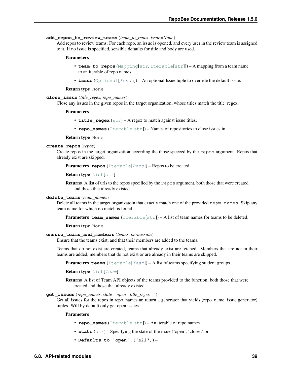#### <span id="page-42-0"></span>**add\_repos\_to\_review\_teams**(*team\_to\_repos*, *issue=None*)

Add repos to review teams. For each repo, an issue is opened, and every user in the review team is assigned to it. If no issue is specified, sensible defaults for title and body are used.

#### Parameters

- **team to repos** ([Mapping](https://docs.python.org/3/library/typing.html#typing.Mapping)[[str](https://docs.python.org/3/library/stdtypes.html#str), [Iterable](https://docs.python.org/3/library/typing.html#typing.Iterable)[str]]) A mapping from a team name to an iterable of repo names.
- **issue** ([Optional](https://docs.python.org/3/library/typing.html#typing.Optional) [*[Issue](#page-44-0)*]) An optional Issue tuple to override the default issue.

#### Return type None

#### **close\_issue**(*title\_regex*, *repo\_names*)

Close any issues in the given repos in the target organization, whose titles match the title\_regex.

#### Parameters

- **title\_regex** ([str](https://docs.python.org/3/library/stdtypes.html#str)) A regex to match against issue titles.
- **repo\_names** ([Iterable](https://docs.python.org/3/library/typing.html#typing.Iterable)[[str](https://docs.python.org/3/library/stdtypes.html#str)]) Names of repositories to close issues in.

#### Return type None

#### **create\_repos**(*repos*)

Create repos in the target organization according the those specced by the repos argument. Repos that already exist are skipped.

Parameters **repos** ([Iterable](https://docs.python.org/3/library/typing.html#typing.Iterable)[[Repo](#page-44-1)]) – Repos to be created.

Return type [List](https://docs.python.org/3/library/typing.html#typing.List)[[str](https://docs.python.org/3/library/stdtypes.html#str)]

Returns A list of urls to the repos specified by the repos argument, both those that were created and those that already existed.

#### **delete\_teams**(*team\_names*)

Delete all teams in the target organizatoin that exactly match one of the provided team\_names. Skip any team name for which no match is found.

**Parameters team\_names** ([Iterable](https://docs.python.org/3/library/typing.html#typing.Iterable)[[str](https://docs.python.org/3/library/stdtypes.html#str)]) – A list of team names for teams to be deleted.

Return type None

#### **ensure\_teams\_and\_members**(*teams*, *permission*)

Ensure that the teams exist, and that their members are added to the teams.

Teams that do not exist are created, teams that already exist are fetched. Members that are not in their teams are added, members that do not exist or are already in their teams are skipped.

**Parameters teams** ([Iterable](https://docs.python.org/3/library/typing.html#typing.Iterable)  $Team$ ) – A list of teams specifying student groups.

#### Return type [List](https://docs.python.org/3/library/typing.html#typing.List)[[Team](#page-44-2)]

Returns A list of Team API objects of the teams provided to the function, both those that were created and those that already existed.

#### **get\_issues**(*repo\_names*, *state='open'*, *title\_regex="*)

Get all issues for the repos in repo\_names an return a generator that yields (repo\_name, issue generator) tuples. Will by default only get open issues.

#### Parameters

- **repo\_names** ([Iterable](https://docs.python.org/3/library/typing.html#typing.Iterable)[[str](https://docs.python.org/3/library/stdtypes.html#str)]) An iterable of repo names.
- **state** ([str](https://docs.python.org/3/library/stdtypes.html#str)) Specifying the state of the issue ('open', 'closed' or
- **Defaults to 'open'.** ('all')) –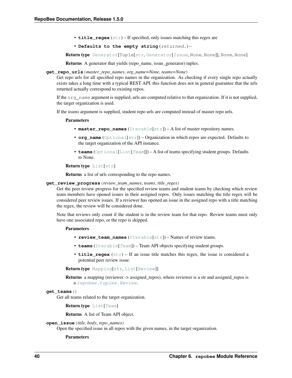- <span id="page-43-0"></span>• **title regex**  $(s \text{tr}) - \text{If specified, only issues matching this regex are$
- **Defaults to the empty string** (returned.) –

Return type [Generator](https://docs.python.org/3/library/typing.html#typing.Generator)[Tuple[[str](https://docs.python.org/3/library/stdtypes.html#str), Generator[[Issue](#page-44-0), None, None]], None, None]

Returns A generator that yields (repo\_name, issue\_generator) tuples.

**get\_repo\_urls**(*master\_repo\_names*, *org\_name=None*, *teams=None*)

Get repo urls for all specified repo names in the organization. As checking if every single repo actually exists takes a long time with a typical REST API, this function does not in general guarantee that the urls returned actually correspond to existing repos.

If the org\_name argument is supplied, urls are computed relative to that organization. If it is not supplied, the target organization is used.

If the *teams* argument is supplied, student repo urls are computed instead of master repo urls.

#### **Parameters**

- **master\_repo\_names** ([Iterable](https://docs.python.org/3/library/typing.html#typing.Iterable)[[str](https://docs.python.org/3/library/stdtypes.html#str)]) A list of master repository names.
- **org\_name** ([Optional](https://docs.python.org/3/library/typing.html#typing.Optional)[[str](https://docs.python.org/3/library/stdtypes.html#str)]) Organization in which repos are expected. Defaults to the target organization of the API instance.
- **teams** ([Optional](https://docs.python.org/3/library/typing.html#typing.Optional)[[List](https://docs.python.org/3/library/typing.html#typing.List)[[Team](#page-44-2)]]) A list of teams specifying student groups. Defaults to None.

Return type [List](https://docs.python.org/3/library/typing.html#typing.List)[[str](https://docs.python.org/3/library/stdtypes.html#str)]

Returns a list of urls corresponding to the repo names.

#### **get\_review\_progress**(*review\_team\_names*, *teams*, *title\_regex*)

Get the peer review progress for the specified review teams and student teams by checking which review team members have opened issues in their assigned repos. Only issues matching the title regex will be considered peer review issues. If a reviewer has opened an issue in the assigned repo with a title matching the regex, the review will be considered done.

Note that reviews only count if the student is in the review team for that repo. Review teams must only have one associated repo, or the repo is skipped.

#### **Parameters**

- **review team names** ([Iterable](https://docs.python.org/3/library/typing.html#typing.Iterable)[[str](https://docs.python.org/3/library/stdtypes.html#str)]) Names of review teams.
- **teams** ([Iterable](https://docs.python.org/3/library/typing.html#typing.Iterable)[[Team](#page-44-2)]) Team API objects specifying student groups.
- **title\_regex** ([str](https://docs.python.org/3/library/stdtypes.html#str)) If an issue title matches this regex, the issue is considered a potential peer review issue.

#### Return type [Mapping](https://docs.python.org/3/library/typing.html#typing.Mapping)[[str](https://docs.python.org/3/library/stdtypes.html#str), [List](https://docs.python.org/3/library/typing.html#typing.List)[[Review](#page-37-0)]]

Returns a mapping (reviewer -> assigned\_repos), where reviewer is a str and assigned\_repos is a [repobee.tuples.Review](#page-37-0).

#### **get\_teams**()

Get all teams related to the target organization.

Return type [List](https://docs.python.org/3/library/typing.html#typing.List)[[Team](#page-44-2)]

Returns A list of Team API object.

#### **open\_issue**(*title*, *body*, *repo\_names*)

Open the specified issue in all repos with the given names, in the target organization.

#### Parameters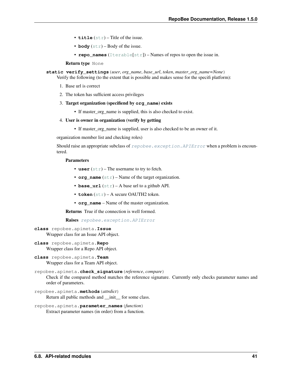- <span id="page-44-3"></span>• **title** ([str](https://docs.python.org/3/library/stdtypes.html#str)) – Title of the issue.
- **body**  $(s \text{tr})$  Body of the issue.
- **repo\_names** ([Iterable](https://docs.python.org/3/library/typing.html#typing.Iterable)[[str](https://docs.python.org/3/library/stdtypes.html#str)]) Names of repos to open the issue in.

Return type None

**static verify\_settings**(*user*, *org\_name*, *base\_url*, *token*, *master\_org\_name=None*) Verify the following (to the extent that is possible and makes sense for the specifi platform):

- 1. Base url is correct
- 2. The token has sufficient access privileges
- 3. Target organization (specifiend by **org\_name**) exists
	- If master\_org\_name is supplied, this is also checked to exist.

#### 4. User is owner in organization (verify by getting

• If master\_org\_name is supplied, user is also checked to be an owner of it.

organization member list and checking roles)

Should raise an appropriate subclass of  $repobee$ .  $exception$ .  $APIENT$  when a problem is encountered.

#### Parameters

- **user**  $(str)$  $(str)$  $(str)$  The username to try to fetch.
- **org\_name** ([str](https://docs.python.org/3/library/stdtypes.html#str)) Name of the target organization.
- **base\_url** ([str](https://docs.python.org/3/library/stdtypes.html#str)) A base url to a github API.
- **token** ([str](https://docs.python.org/3/library/stdtypes.html#str)) A secure OAUTH2 token.
- **org\_name** Name of the master organization.

Returns True if the connection is well formed.

Raises [repobee.exception.APIError](#page-35-2)

- <span id="page-44-0"></span>**class** repobee.apimeta.**Issue** Wrapper class for an Issue API object.
- <span id="page-44-1"></span>**class** repobee.apimeta.**Repo** Wrapper class for a Repo API object.
- <span id="page-44-2"></span>**class** repobee.apimeta.**Team** Wrapper class for a Team API object.

```
repobee.apimeta.check_signature(reference, compare)
     Check if the compared method matches the reference signature. Currently only checks parameter names and
     order of parameters.
```
- repobee.apimeta.**methods**(*attrdict*) Return all public methods and \_\_init\_\_ for some class.
- repobee.apimeta.**parameter\_names**(*function*) Extract parameter names (in order) from a function.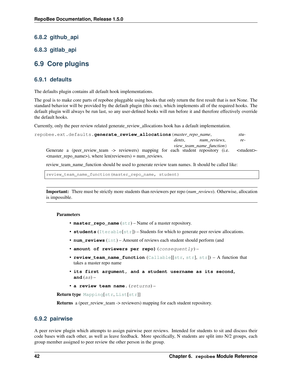### <span id="page-45-4"></span>**6.8.2 github\_api**

### **6.8.3 gitlab\_api**

### <span id="page-45-0"></span>**6.9 Core plugins**

### <span id="page-45-1"></span>**6.9.1 defaults**

The defaults plugin contains all default hook implementations.

The goal is to make core parts of repobee pluggable using hooks that only return the first result that is not None. The standard behavior will be provided by the default plugin (this one), which implements all of the required hooks. The default plugin will always be run last, so any user-defined hooks will run before it and therefore effectively override the default hooks.

Currently, only the peer review related generate\_review\_allocations hook has a default implementation.

<span id="page-45-3"></span>

| repobee.ext.defaults.qenerate review allocations (master repo name,                  |        |                          | stu-                |
|--------------------------------------------------------------------------------------|--------|--------------------------|---------------------|
|                                                                                      | dents. | num reviews,             | re-                 |
| Generate a (peer_review_team -> reviewers) mapping for each student repository (i.e. |        | view_team_name_function) | <student></student> |
| <master_repo_name>), where len(reviewers) = num_reviews.</master_repo_name>          |        |                          |                     |

review\_team\_name\_function should be used to generate review team names. It should be called like:

review\_team\_name\_function(master\_repo\_name, student)

Important: There must be strictly more students than reviewers per repo (*num\_reviews*). Otherwise, allocation is impossible.

#### **Parameters**

- master\_repo\_name  $(\text{str})$  $(\text{str})$  $(\text{str})$  Name of a master repository.
- **students** ([Iterable](https://docs.python.org/3/library/typing.html#typing.Iterable)[[str](https://docs.python.org/3/library/stdtypes.html#str)]) Students for which to generate peer review allocations.
- **num\_reviews** ([int](https://docs.python.org/3/library/functions.html#int)) Amount of reviews each student should perform (and
- **amount of reviewers per repo)** (consequently) –
- **review\_team\_name\_function** ([Callable](https://docs.python.org/3/library/typing.html#typing.Callable)[[[str](https://docs.python.org/3/library/stdtypes.html#str), [str](https://docs.python.org/3/library/stdtypes.html#str)], [str](https://docs.python.org/3/library/stdtypes.html#str)]) A function that takes a master repo name
- **its first argument, and a student username as its second, and**  $(as)$  –
- **a review team name.** (returns) –

Return type [Mapping](https://docs.python.org/3/library/typing.html#typing.Mapping)[[str](https://docs.python.org/3/library/stdtypes.html#str), [List](https://docs.python.org/3/library/typing.html#typing.List)[[str](https://docs.python.org/3/library/stdtypes.html#str)]]

Returns a (peer\_review\_team -> reviewers) mapping for each student repository.

#### <span id="page-45-2"></span>**6.9.2 pairwise**

A peer review plugin which attempts to assign pairwise peer reviews. Intended for students to sit and discuss their code bases with each other, as well as leave feedback. More specifically, N students are split into N/2 groups, each group member assigned to peer review the other person in the group.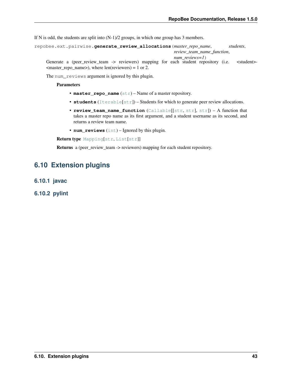<span id="page-46-2"></span>If N is odd, the students are split into  $(N-1)/2$  groups, in which one group has 3 members.

<span id="page-46-1"></span>repobee.ext.pairwise.**generate\_review\_allocations**(*master\_repo\_name*, *students*,

*review\_team\_name\_function*, *num\_reviews=1*) Generate a (peer\_review\_team -> reviewers) mapping for each student repository (i.e. <student>- $<$  master\_repo\_name>), where len(reviewers) = 1 or 2.

The num\_reviews argument is ignored by this plugin.

#### Parameters

- **master\_repo\_name** ([str](https://docs.python.org/3/library/stdtypes.html#str)) Name of a master repository.
- **students** ([Iterable](https://docs.python.org/3/library/typing.html#typing.Iterable)[[str](https://docs.python.org/3/library/stdtypes.html#str)]) Students for which to generate peer review allocations.
- **review\_team\_name\_function** ([Callable](https://docs.python.org/3/library/typing.html#typing.Callable)[[[str](https://docs.python.org/3/library/stdtypes.html#str), [str](https://docs.python.org/3/library/stdtypes.html#str)], [str](https://docs.python.org/3/library/stdtypes.html#str)]) A function that takes a master repo name as its first argument, and a student username as its second, and returns a review team name.
- **num\_reviews** ([int](https://docs.python.org/3/library/functions.html#int)) Ignored by this plugin.

Return type [Mapping](https://docs.python.org/3/library/typing.html#typing.Mapping)[[str](https://docs.python.org/3/library/stdtypes.html#str), [List](https://docs.python.org/3/library/typing.html#typing.List)[[str](https://docs.python.org/3/library/stdtypes.html#str)]]

Returns a (peer\_review\_team -> reviewers) mapping for each student repository.

### <span id="page-46-0"></span>**6.10 Extension plugins**

- **6.10.1 javac**
- **6.10.2 pylint**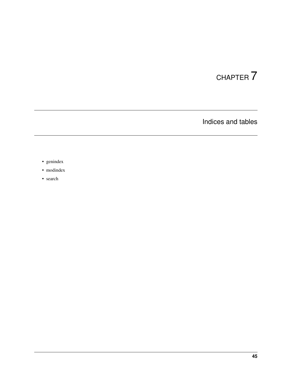# CHAPTER 7

Indices and tables

- <span id="page-48-0"></span>• genindex
- modindex
- search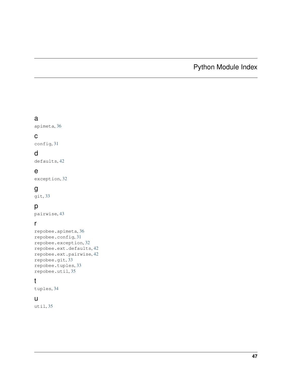# Python Module Index

### <span id="page-50-0"></span>a

apimeta, [36](#page-39-1)

### c

config, [31](#page-34-4)

## d

defaults, [42](#page-45-3)

### e

exception, [32](#page-35-2)

### g

git, [33](#page-36-2)

### p

pairwise, [43](#page-46-1)

### r

```
repobee.apimeta, 36
repobee.config, 31
repobee.exception, 32
repobee.ext.defaults, 42
repobee.ext.pairwise, 42
repobee.git, 33
repobee.tuples, 33
repobee.util, 35
```
### t

tuples, [34](#page-37-1)

### u

util, [35](#page-38-1)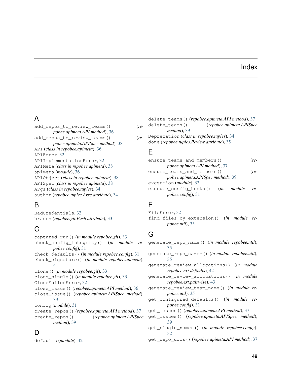### Index

# <span id="page-52-0"></span>A

```
add_repos_to_review_teams() (re-
        pobee.apimeta.API method), 36
add_repos_to_review_teams() (re-
        pobee.apimeta.APISpec method), 38
API (class in repobee.apimeta), 36
APIError, 32
APIImplementationError, 32
APIMeta (class in repobee.apimeta), 38
apimeta (module), 36
APIObject (class in repobee.apimeta), 38
APISpec (class in repobee.apimeta), 38
Args (class in repobee.tuples), 34
author (repobee.tuples.Args attribute), 34
```
# B

BadCredentials, [32](#page-35-3) branch (*repobee.git.Push attribute*), [33](#page-36-3)

# C

```
captured_run() (in module repobee.git), 33
check_config_integrity() (in module re-
        pobee.config), 31
check_defaults() (in module repobee.config), 31
check_signature() (in module repobee.apimeta),
        41
clone() (in module repobee.git), 33
clone_single() (in module repobee.git), 33
CloneFailedError, 32
close_issue() (repobee.apimeta.API method), 36
close_issue() (repobee.apimeta.APISpec method),
        39
config (module), 31
create_repos() (repobee.apimeta.API method), 37
create_repos() (repobee.apimeta.APISpec
        method), 39
```
# D

defaults (*module*), [42](#page-45-4)

|                  |                                           | delete_teams()(repobee.apimeta.API method), 37 |
|------------------|-------------------------------------------|------------------------------------------------|
| $\rho$ -         | delete teams()                            | (repobee.apimeta.APISpec                       |
|                  | $method$ ), 39                            |                                                |
| $\mathfrak{o}$ . | Deprecation (class in repobee.tuples), 34 |                                                |

done (*repobee.tuples.Review attribute*), [35](#page-38-2)

### E

| ensure teams and members()              | re-  |  |
|-----------------------------------------|------|--|
| pobee.apimeta.API method), 37           |      |  |
| ensure_teams_and_members()              | (re- |  |
| pobee.apimeta.APISpec method), 39       |      |  |
| exception ( <i>module</i> ), 32         |      |  |
| execute_config_hooks()<br>module<br>(in | re-  |  |
| pobee.config, 31                        |      |  |
|                                         |      |  |

### F

FileError, [32](#page-35-3) find\_files\_by\_extension() (*in module repobee.util*), [35](#page-38-2)

### G

generate\_repo\_name() (*in module repobee.util*), [35](#page-38-2) generate\_repo\_names() (*in module repobee.util*), [35](#page-38-2) generate\_review\_allocations() (*in module repobee.ext.defaults*), [42](#page-45-4) generate\_review\_allocations() (*in module repobee.ext.pairwise*), [43](#page-46-2) generate\_review\_team\_name() (*in module repobee.util*), [35](#page-38-2) get\_configured\_defaults() (*in module repobee.config*), [31](#page-34-5) get\_issues() (*repobee.apimeta.API method*), [37](#page-40-0) get\_issues() (*repobee.apimeta.APISpec method*), [39](#page-42-0) get\_plugin\_names() (*in module repobee.config*), [32](#page-35-3) get\_repo\_urls() (*repobee.apimeta.API method*), [37](#page-40-0)